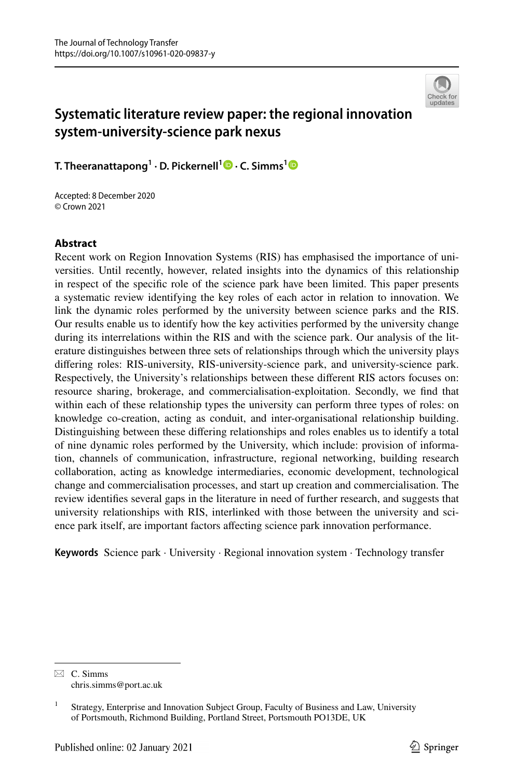

# **Systematic literature review paper: the regional innovation system‑university‑science park nexus**

**T. Theeranattapong<sup>1</sup> · D. Pickernell1 · C. Simms[1](http://orcid.org/0000-0001-5172-4453)**

Accepted: 8 December 2020 © Crown 2021

## **Abstract**

Recent work on Region Innovation Systems (RIS) has emphasised the importance of universities. Until recently, however, related insights into the dynamics of this relationship in respect of the specifc role of the science park have been limited. This paper presents a systematic review identifying the key roles of each actor in relation to innovation. We link the dynamic roles performed by the university between science parks and the RIS. Our results enable us to identify how the key activities performed by the university change during its interrelations within the RIS and with the science park. Our analysis of the literature distinguishes between three sets of relationships through which the university plays difering roles: RIS-university, RIS-university-science park, and university-science park. Respectively, the University's relationships between these diferent RIS actors focuses on: resource sharing, brokerage, and commercialisation-exploitation. Secondly, we fnd that within each of these relationship types the university can perform three types of roles: on knowledge co-creation, acting as conduit, and inter-organisational relationship building. Distinguishing between these difering relationships and roles enables us to identify a total of nine dynamic roles performed by the University, which include: provision of information, channels of communication, infrastructure, regional networking, building research collaboration, acting as knowledge intermediaries, economic development, technological change and commercialisation processes, and start up creation and commercialisation. The review identifes several gaps in the literature in need of further research, and suggests that university relationships with RIS, interlinked with those between the university and science park itself, are important factors afecting science park innovation performance.

**Keywords** Science park · University · Regional innovation system · Technology transfer

 $\boxtimes$  C. Simms chris.simms@port.ac.uk

<sup>&</sup>lt;sup>1</sup> Strategy, Enterprise and Innovation Subject Group, Faculty of Business and Law, University of Portsmouth, Richmond Building, Portland Street, Portsmouth PO13DE, UK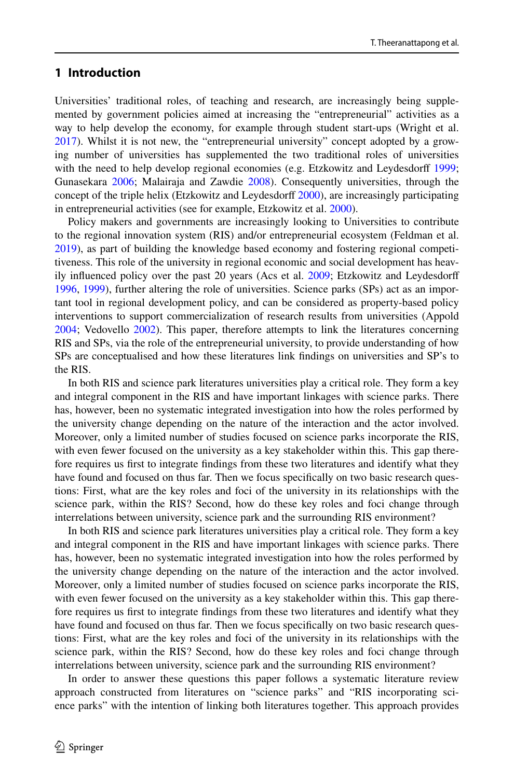## **1 Introduction**

Universities' traditional roles, of teaching and research, are increasingly being supplemented by government policies aimed at increasing the "entrepreneurial" activities as a way to help develop the economy, for example through student start-ups (Wright et al. [2017\)](#page-32-0). Whilst it is not new, the "entrepreneurial university" concept adopted by a growing number of universities has supplemented the two traditional roles of universities with the need to help develop regional economies (e.g. Etzkowitz and Leydesdorff [1999;](#page-27-0) Gunasekara [2006;](#page-28-0) Malairaja and Zawdie [2008](#page-30-0)). Consequently universities, through the concept of the triple helix (Etzkowitz and Leydesdorf [2000\)](#page-27-1), are increasingly participating in entrepreneurial activities (see for example, Etzkowitz et al. [2000\)](#page-27-2).

Policy makers and governments are increasingly looking to Universities to contribute to the regional innovation system (RIS) and/or entrepreneurial ecosystem (Feldman et al. [2019\)](#page-28-1), as part of building the knowledge based economy and fostering regional competitiveness. This role of the university in regional economic and social development has heav-ily influenced policy over the past 20 years (Acs et al. [2009](#page-25-0); Etzkowitz and Leydesdorff [1996,](#page-27-3) [1999](#page-27-0)), further altering the role of universities. Science parks (SPs) act as an important tool in regional development policy, and can be considered as property-based policy interventions to support commercialization of research results from universities (Appold [2004;](#page-26-0) Vedovello [2002](#page-32-1)). This paper, therefore attempts to link the literatures concerning RIS and SPs, via the role of the entrepreneurial university, to provide understanding of how SPs are conceptualised and how these literatures link fndings on universities and SP's to the RIS.

In both RIS and science park literatures universities play a critical role. They form a key and integral component in the RIS and have important linkages with science parks. There has, however, been no systematic integrated investigation into how the roles performed by the university change depending on the nature of the interaction and the actor involved. Moreover, only a limited number of studies focused on science parks incorporate the RIS, with even fewer focused on the university as a key stakeholder within this. This gap therefore requires us frst to integrate fndings from these two literatures and identify what they have found and focused on thus far. Then we focus specifcally on two basic research questions: First, what are the key roles and foci of the university in its relationships with the science park, within the RIS? Second, how do these key roles and foci change through interrelations between university, science park and the surrounding RIS environment?

In both RIS and science park literatures universities play a critical role. They form a key and integral component in the RIS and have important linkages with science parks. There has, however, been no systematic integrated investigation into how the roles performed by the university change depending on the nature of the interaction and the actor involved. Moreover, only a limited number of studies focused on science parks incorporate the RIS, with even fewer focused on the university as a key stakeholder within this. This gap therefore requires us frst to integrate fndings from these two literatures and identify what they have found and focused on thus far. Then we focus specifcally on two basic research questions: First, what are the key roles and foci of the university in its relationships with the science park, within the RIS? Second, how do these key roles and foci change through interrelations between university, science park and the surrounding RIS environment?

In order to answer these questions this paper follows a systematic literature review approach constructed from literatures on "science parks" and "RIS incorporating science parks" with the intention of linking both literatures together. This approach provides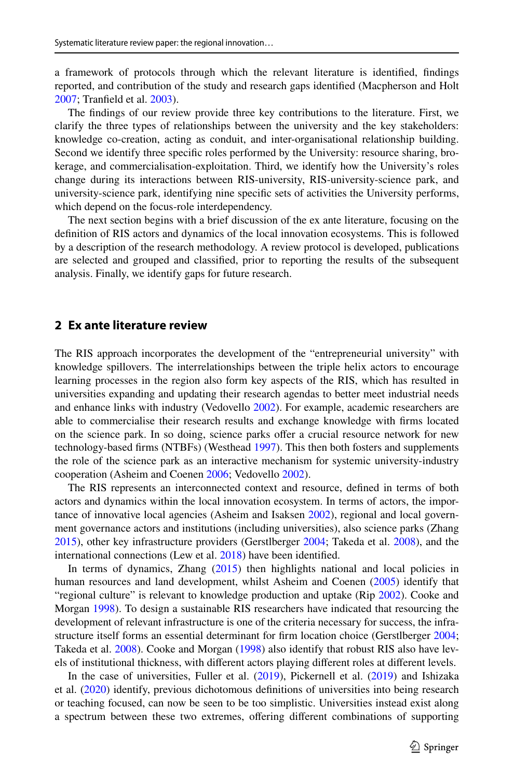a framework of protocols through which the relevant literature is identifed, fndings reported, and contribution of the study and research gaps identifed (Macpherson and Holt [2007;](#page-30-1) Tranfeld et al. [2003\)](#page-32-2).

The fndings of our review provide three key contributions to the literature. First, we clarify the three types of relationships between the university and the key stakeholders: knowledge co-creation, acting as conduit, and inter-organisational relationship building. Second we identify three specifc roles performed by the University: resource sharing, brokerage, and commercialisation-exploitation. Third, we identify how the University's roles change during its interactions between RIS-university, RIS-university-science park, and university-science park, identifying nine specifc sets of activities the University performs, which depend on the focus-role interdependency.

The next section begins with a brief discussion of the ex ante literature, focusing on the defnition of RIS actors and dynamics of the local innovation ecosystems. This is followed by a description of the research methodology. A review protocol is developed, publications are selected and grouped and classifed, prior to reporting the results of the subsequent analysis. Finally, we identify gaps for future research.

## **2 Ex ante literature review**

The RIS approach incorporates the development of the "entrepreneurial university" with knowledge spillovers. The interrelationships between the triple helix actors to encourage learning processes in the region also form key aspects of the RIS, which has resulted in universities expanding and updating their research agendas to better meet industrial needs and enhance links with industry (Vedovello [2002\)](#page-32-1). For example, academic researchers are able to commercialise their research results and exchange knowledge with frms located on the science park. In so doing, science parks offer a crucial resource network for new technology-based frms (NTBFs) (Westhead [1997](#page-32-3)). This then both fosters and supplements the role of the science park as an interactive mechanism for systemic university-industry cooperation (Asheim and Coenen [2006;](#page-26-1) Vedovello [2002](#page-32-1)).

The RIS represents an interconnected context and resource, defned in terms of both actors and dynamics within the local innovation ecosystem. In terms of actors, the impor-tance of innovative local agencies (Asheim and Isaksen [2002\)](#page-26-2), regional and local government governance actors and institutions (including universities), also science parks (Zhang [2015\)](#page-32-4), other key infrastructure providers (Gerstlberger [2004](#page-28-2); Takeda et al. [2008\)](#page-31-0), and the international connections (Lew et al. [2018](#page-29-0)) have been identifed.

In terms of dynamics, Zhang [\(2015](#page-32-4)) then highlights national and local policies in human resources and land development, whilst Asheim and Coenen ([2005\)](#page-26-3) identify that "regional culture" is relevant to knowledge production and uptake (Rip [2002\)](#page-31-1). Cooke and Morgan [1998](#page-27-4)). To design a sustainable RIS researchers have indicated that resourcing the development of relevant infrastructure is one of the criteria necessary for success, the infrastructure itself forms an essential determinant for frm location choice (Gerstlberger [2004;](#page-28-2) Takeda et al. [2008](#page-31-0)). Cooke and Morgan ([1998\)](#page-27-4) also identify that robust RIS also have levels of institutional thickness, with diferent actors playing diferent roles at diferent levels.

In the case of universities, Fuller et al. [\(2019](#page-28-3)), Pickernell et al. [\(2019](#page-31-2)) and Ishizaka et al. ([2020\)](#page-29-1) identify, previous dichotomous defnitions of universities into being research or teaching focused, can now be seen to be too simplistic. Universities instead exist along a spectrum between these two extremes, ofering diferent combinations of supporting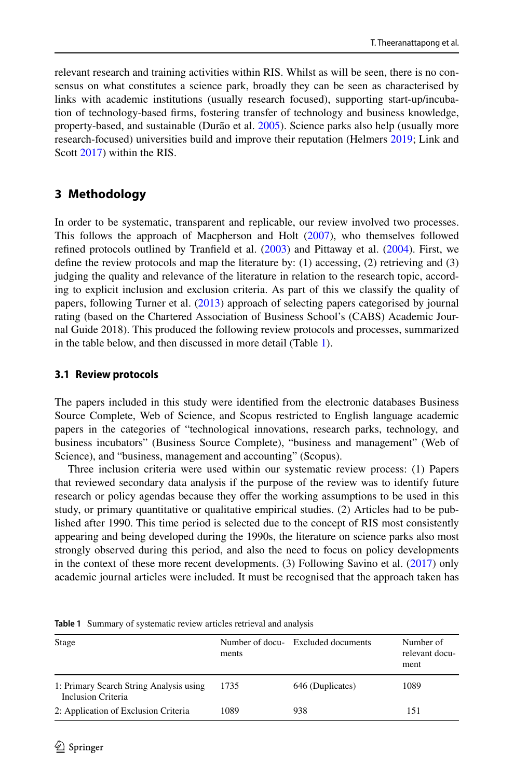relevant research and training activities within RIS. Whilst as will be seen, there is no consensus on what constitutes a science park, broadly they can be seen as characterised by links with academic institutions (usually research focused), supporting start-up/incubation of technology-based frms, fostering transfer of technology and business knowledge, property-based, and sustainable (Durão et al. [2005\)](#page-27-5). Science parks also help (usually more research-focused) universities build and improve their reputation (Helmers [2019](#page-28-4); Link and Scott [2017\)](#page-30-2) within the RIS.

## **3 Methodology**

In order to be systematic, transparent and replicable, our review involved two processes. This follows the approach of Macpherson and Holt [\(2007](#page-30-1)), who themselves followed refned protocols outlined by Tranfeld et al. [\(2003](#page-32-2)) and Pittaway et al. ([2004\)](#page-31-3). First, we defne the review protocols and map the literature by: (1) accessing, (2) retrieving and (3) judging the quality and relevance of the literature in relation to the research topic, according to explicit inclusion and exclusion criteria. As part of this we classify the quality of papers, following Turner et al. ([2013\)](#page-32-5) approach of selecting papers categorised by journal rating (based on the Chartered Association of Business School's (CABS) Academic Journal Guide 2018). This produced the following review protocols and processes, summarized in the table below, and then discussed in more detail (Table [1](#page-3-0)).

## **3.1 Review protocols**

The papers included in this study were identifed from the electronic databases Business Source Complete, Web of Science, and Scopus restricted to English language academic papers in the categories of "technological innovations, research parks, technology, and business incubators" (Business Source Complete), "business and management" (Web of Science), and "business, management and accounting" (Scopus).

Three inclusion criteria were used within our systematic review process: (1) Papers that reviewed secondary data analysis if the purpose of the review was to identify future research or policy agendas because they offer the working assumptions to be used in this study, or primary quantitative or qualitative empirical studies. (2) Articles had to be published after 1990. This time period is selected due to the concept of RIS most consistently appearing and being developed during the 1990s, the literature on science parks also most strongly observed during this period, and also the need to focus on policy developments in the context of these more recent developments. (3) Following Savino et al. ([2017\)](#page-31-4) only academic journal articles were included. It must be recognised that the approach taken has

| Stage                                                         | ments | Number of docu- Excluded documents | Number of<br>relevant docu-<br>ment |
|---------------------------------------------------------------|-------|------------------------------------|-------------------------------------|
| 1: Primary Search String Analysis using<br>Inclusion Criteria | 1735  | 646 (Duplicates)                   | 1089                                |
| 2: Application of Exclusion Criteria                          | 1089  | 938                                | 151                                 |

<span id="page-3-0"></span>**Table 1** Summary of systematic review articles retrieval and analysis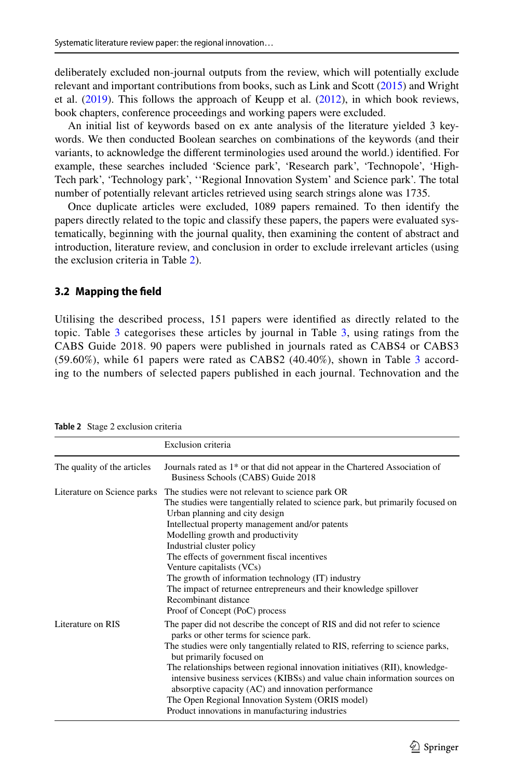deliberately excluded non-journal outputs from the review, which will potentially exclude relevant and important contributions from books, such as Link and Scott [\(2015](#page-30-3)) and Wright et al.  $(2019)$  $(2019)$ . This follows the approach of Keupp et al.  $(2012)$  $(2012)$ , in which book reviews, book chapters, conference proceedings and working papers were excluded.

An initial list of keywords based on ex ante analysis of the literature yielded 3 keywords. We then conducted Boolean searches on combinations of the keywords (and their variants, to acknowledge the diferent terminologies used around the world.) identifed. For example, these searches included 'Science park', 'Research park', 'Technopole', 'High-Tech park', 'Technology park', ''Regional Innovation System' and Science park'. The total number of potentially relevant articles retrieved using search strings alone was 1735.

Once duplicate articles were excluded, 1089 papers remained. To then identify the papers directly related to the topic and classify these papers, the papers were evaluated systematically, beginning with the journal quality, then examining the content of abstract and introduction, literature review, and conclusion in order to exclude irrelevant articles (using the exclusion criteria in Table [2\)](#page-4-0).

## **3.2 Mapping the feld**

Utilising the described process, 151 papers were identifed as directly related to the topic. Table  $3$  categorises these articles by journal in Table  $3$ , using ratings from the CABS Guide 2018. 90 papers were published in journals rated as CABS4 or CABS3 (59.60%), while 61 papers were rated as CABS2 (40.40%), shown in Table [3](#page-5-0) according to the numbers of selected papers published in each journal. Technovation and the

|                             | Exclusion criteria                                                                                                                                                                                                                                                                                                                                                                                                                                                                                                                                            |
|-----------------------------|---------------------------------------------------------------------------------------------------------------------------------------------------------------------------------------------------------------------------------------------------------------------------------------------------------------------------------------------------------------------------------------------------------------------------------------------------------------------------------------------------------------------------------------------------------------|
| The quality of the articles | Journals rated as 1 <sup>*</sup> or that did not appear in the Chartered Association of<br>Business Schools (CABS) Guide 2018                                                                                                                                                                                                                                                                                                                                                                                                                                 |
| Literature on Science parks | The studies were not relevant to science park OR<br>The studies were tangentially related to science park, but primarily focused on<br>Urban planning and city design<br>Intellectual property management and/or patents<br>Modelling growth and productivity<br>Industrial cluster policy<br>The effects of government fiscal incentives<br>Venture capitalists (VCs)<br>The growth of information technology (IT) industry<br>The impact of returnee entrepreneurs and their knowledge spillover<br>Recombinant distance<br>Proof of Concept (PoC) process  |
| Literature on RIS           | The paper did not describe the concept of RIS and did not refer to science<br>parks or other terms for science park.<br>The studies were only tangentially related to RIS, referring to science parks,<br>but primarily focused on<br>The relationships between regional innovation initiatives (RII), knowledge-<br>intensive business services (KIBSs) and value chain information sources on<br>absorptive capacity (AC) and innovation performance<br>The Open Regional Innovation System (ORIS model)<br>Product innovations in manufacturing industries |

<span id="page-4-0"></span>**Table 2** Stage 2 exclusion criteria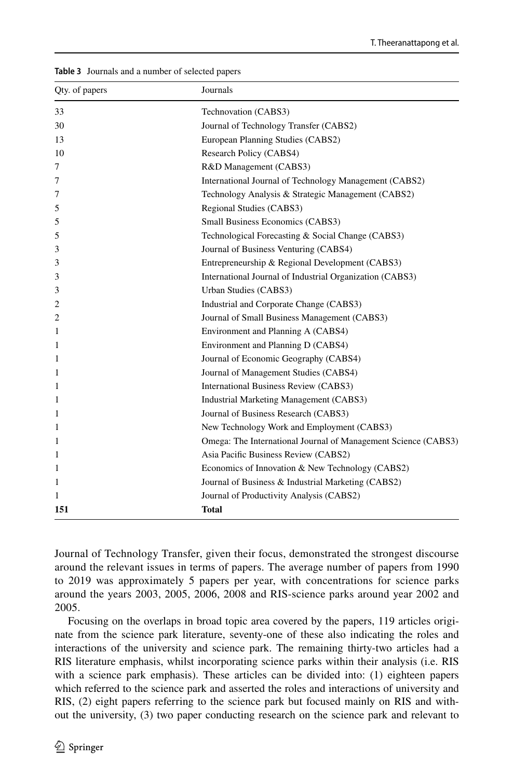| Qty. of papers | Journals                                                       |
|----------------|----------------------------------------------------------------|
| 33             | Technovation (CABS3)                                           |
| 30             | Journal of Technology Transfer (CABS2)                         |
| 13             | European Planning Studies (CABS2)                              |
| 10             | Research Policy (CABS4)                                        |
| 7              | R&D Management (CABS3)                                         |
| 7              | International Journal of Technology Management (CABS2)         |
| 7              | Technology Analysis & Strategic Management (CABS2)             |
| 5              | Regional Studies (CABS3)                                       |
| 5              | Small Business Economics (CABS3)                               |
| 5              | Technological Forecasting & Social Change (CABS3)              |
| 3              | Journal of Business Venturing (CABS4)                          |
| 3              | Entrepreneurship & Regional Development (CABS3)                |
| 3              | International Journal of Industrial Organization (CABS3)       |
| 3              | Urban Studies (CABS3)                                          |
| 2              | Industrial and Corporate Change (CABS3)                        |
| 2              | Journal of Small Business Management (CABS3)                   |
| 1              | Environment and Planning A (CABS4)                             |
| 1              | Environment and Planning D (CABS4)                             |
| 1              | Journal of Economic Geography (CABS4)                          |
| 1              | Journal of Management Studies (CABS4)                          |
| 1              | International Business Review (CABS3)                          |
| 1              | Industrial Marketing Management (CABS3)                        |
| 1              | Journal of Business Research (CABS3)                           |
| 1              | New Technology Work and Employment (CABS3)                     |
| 1              | Omega: The International Journal of Management Science (CABS3) |
| 1              | Asia Pacific Business Review (CABS2)                           |
| 1              | Economics of Innovation & New Technology (CABS2)               |
| 1              | Journal of Business & Industrial Marketing (CABS2)             |
| 1              | Journal of Productivity Analysis (CABS2)                       |
| 151            | <b>Total</b>                                                   |

<span id="page-5-0"></span>**Table 3** Journals and a number of selected papers

Journal of Technology Transfer, given their focus, demonstrated the strongest discourse around the relevant issues in terms of papers. The average number of papers from 1990 to 2019 was approximately 5 papers per year, with concentrations for science parks around the years 2003, 2005, 2006, 2008 and RIS-science parks around year 2002 and 2005.

Focusing on the overlaps in broad topic area covered by the papers, 119 articles originate from the science park literature, seventy-one of these also indicating the roles and interactions of the university and science park. The remaining thirty-two articles had a RIS literature emphasis, whilst incorporating science parks within their analysis (i.e. RIS with a science park emphasis). These articles can be divided into: (1) eighteen papers which referred to the science park and asserted the roles and interactions of university and RIS, (2) eight papers referring to the science park but focused mainly on RIS and without the university, (3) two paper conducting research on the science park and relevant to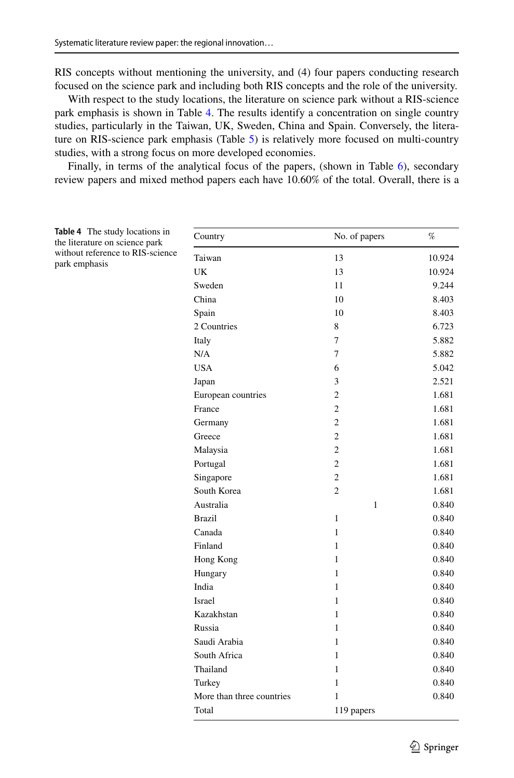RIS concepts without mentioning the university, and (4) four papers conducting research focused on the science park and including both RIS concepts and the role of the university.

With respect to the study locations, the literature on science park without a RIS-science park emphasis is shown in Table [4.](#page-6-0) The results identify a concentration on single country studies, particularly in the Taiwan, UK, Sweden, China and Spain. Conversely, the literature on RIS-science park emphasis (Table [5\)](#page-7-0) is relatively more focused on multi-country studies, with a strong focus on more developed economies.

Finally, in terms of the analytical focus of the papers, (shown in Table [6\)](#page-8-0), secondary review papers and mixed method papers each have 10.60% of the total. Overall, there is a

<span id="page-6-0"></span>

| <b>Table 4</b> The study locations in<br>the literature on science park | Country                   | No. of papers  | $\%$   |
|-------------------------------------------------------------------------|---------------------------|----------------|--------|
| without reference to RIS-science                                        | Taiwan                    | 13             | 10.924 |
| park emphasis                                                           | <b>UK</b>                 | 13             | 10.924 |
|                                                                         | Sweden                    | 11             | 9.244  |
|                                                                         | China                     | 10             | 8.403  |
|                                                                         | Spain                     | 10             | 8.403  |
|                                                                         | 2 Countries               | 8              | 6.723  |
|                                                                         | Italy                     | 7              | 5.882  |
|                                                                         | N/A                       | 7              | 5.882  |
|                                                                         | <b>USA</b>                | 6              | 5.042  |
|                                                                         | Japan                     | 3              | 2.521  |
|                                                                         | European countries        | $\overline{c}$ | 1.681  |
|                                                                         | France                    | $\overline{c}$ | 1.681  |
|                                                                         | Germany                   | $\overline{c}$ | 1.681  |
|                                                                         | Greece                    | $\overline{c}$ | 1.681  |
|                                                                         | Malaysia                  | $\overline{c}$ | 1.681  |
|                                                                         | Portugal                  | $\overline{c}$ | 1.681  |
|                                                                         | Singapore                 | $\overline{c}$ | 1.681  |
|                                                                         | South Korea               | $\overline{c}$ | 1.681  |
|                                                                         | Australia                 | $\mathbf{1}$   | 0.840  |
|                                                                         | <b>Brazil</b>             | $\mathbf{1}$   | 0.840  |
|                                                                         | Canada                    | $\mathbf{1}$   | 0.840  |
|                                                                         | Finland                   | $\mathbf{1}$   | 0.840  |
|                                                                         | Hong Kong                 | $\mathbf{1}$   | 0.840  |
|                                                                         | Hungary                   | $\mathbf{1}$   | 0.840  |
|                                                                         | India                     | $\mathbf{1}$   | 0.840  |
|                                                                         | Israel                    | $\mathbf{1}$   | 0.840  |
|                                                                         | Kazakhstan                | $\mathbf{1}$   | 0.840  |
|                                                                         | Russia                    | $\mathbf{1}$   | 0.840  |
|                                                                         | Saudi Arabia              | $\mathbf{1}$   | 0.840  |
|                                                                         | South Africa              | $\mathbf{1}$   | 0.840  |
|                                                                         | Thailand                  | $\mathbf{1}$   | 0.840  |
|                                                                         | Turkey                    | $\mathbf{1}$   | 0.840  |
|                                                                         | More than three countries | $\mathbf{1}$   | 0.840  |
|                                                                         | Total                     | 119 papers     |        |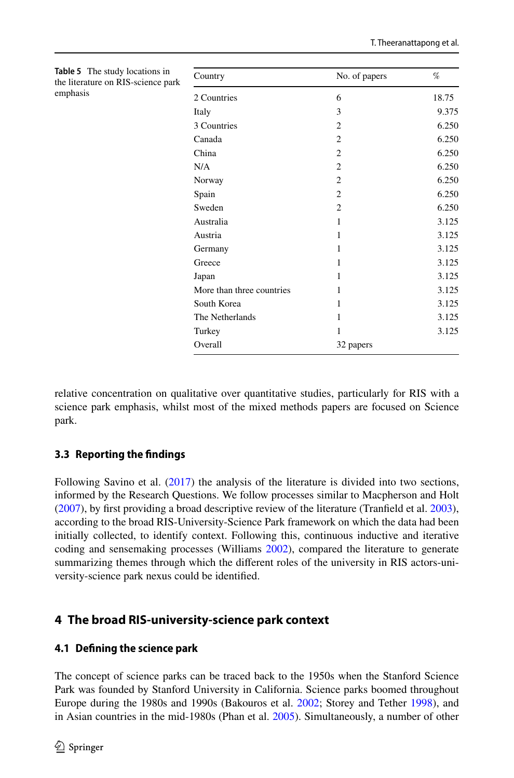| Country                   | No. of papers               | %     |
|---------------------------|-----------------------------|-------|
| 2 Countries               | 6                           | 18.75 |
| Italy                     | 3                           | 9.375 |
| 3 Countries               | $\overline{c}$              | 6.250 |
| Canada                    | $\overline{c}$              | 6.250 |
| China                     | $\overline{c}$              | 6.250 |
| N/A                       | $\overline{c}$              | 6.250 |
| Norway                    | $\overline{c}$              | 6.250 |
| Spain                     | $\overline{c}$              | 6.250 |
| Sweden                    | $\mathcal{D}_{\mathcal{L}}$ | 6.250 |
| Australia                 | 1                           | 3.125 |
| Austria                   | 1                           | 3.125 |
| Germany                   | 1                           | 3.125 |
| Greece                    | 1                           | 3.125 |
| Japan                     | 1                           | 3.125 |
| More than three countries | 1                           | 3.125 |
| South Korea               | 1                           | 3.125 |
| The Netherlands           | 1                           | 3.125 |
| Turkey                    | 1                           | 3.125 |
| Overall                   | 32 papers                   |       |

<span id="page-7-0"></span>**Table 5** The study locations in the literature on RIS-science par emphasis

relative concentration on qualitative over quantitative studies, particularly for RIS with a science park emphasis, whilst most of the mixed methods papers are focused on Science park.

## **3.3 Reporting the fndings**

Following Savino et al. [\(2017](#page-31-4)) the analysis of the literature is divided into two sections, informed by the Research Questions. We follow processes similar to Macpherson and Holt ([2007\)](#page-30-1), by frst providing a broad descriptive review of the literature (Tranfeld et al. [2003](#page-32-2)), according to the broad RIS-University-Science Park framework on which the data had been initially collected, to identify context. Following this, continuous inductive and iterative coding and sensemaking processes (Williams [2002](#page-32-7)), compared the literature to generate summarizing themes through which the diferent roles of the university in RIS actors-university-science park nexus could be identifed.

## **4 The broad RIS‑university‑science park context**

## **4.1 Defning the science park**

The concept of science parks can be traced back to the 1950s when the Stanford Science Park was founded by Stanford University in California. Science parks boomed throughout Europe during the 1980s and 1990s (Bakouros et al. [2002](#page-26-4); Storey and Tether [1998](#page-31-5)), and in Asian countries in the mid-1980s (Phan et al. [2005](#page-31-6)). Simultaneously, a number of other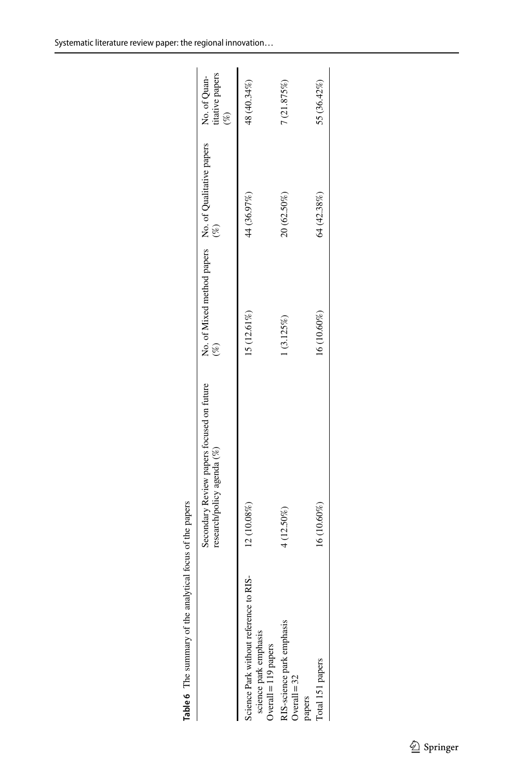|                                                                                         | Secondary Review papers focused on future<br>research/policy agenda (%) | No. of Mixed method papers No. of Qualitative papers $(%)$ |             | No. of Quan-<br>titative papers<br>$(\%)$ |
|-----------------------------------------------------------------------------------------|-------------------------------------------------------------------------|------------------------------------------------------------|-------------|-------------------------------------------|
| science Park without reference to RIS-<br>science park emphasis<br>Overall = 119 papers | 12 (10.08%)                                                             | 15 (12.61%)                                                | 44 (36.97%) | 48 (40.34%)                               |
| RIS-science park emphasis<br>Overall = 32<br>papers                                     | 4 (12.50%)                                                              | 1(3.125%)                                                  | 20 (62.50%) | (21.875%)                                 |
| Total 151 papers                                                                        | 16 (10.60%)                                                             | 16 (10.60%)                                                | 64 (42.38%) | 55 (36.42%)                               |
|                                                                                         |                                                                         |                                                            |             |                                           |

<span id="page-8-0"></span>**Table 6** The summary of the analytical focus of the papers

Table 6 The summary of the analytical focus of the papers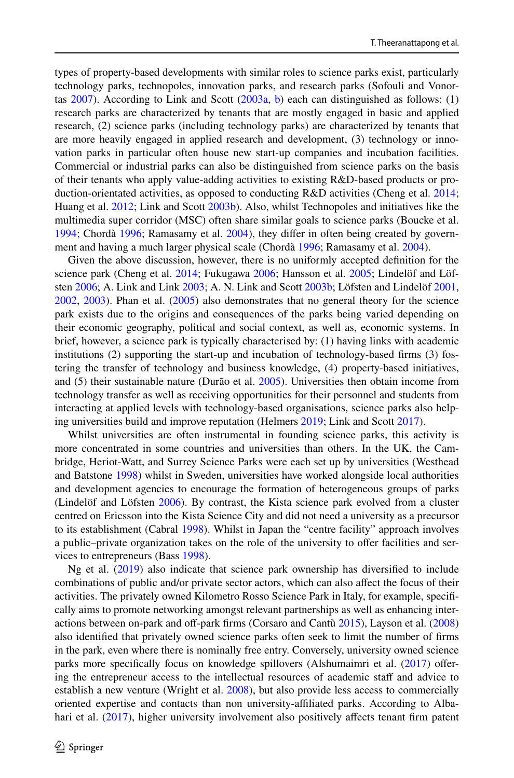types of property-based developments with similar roles to science parks exist, particularly technology parks, technopoles, innovation parks, and research parks (Sofouli and Vonortas  $2007$ ). According to Link and Scott  $(2003a, b)$  $(2003a, b)$  $(2003a, b)$  each can distinguished as follows: (1) research parks are characterized by tenants that are mostly engaged in basic and applied research, (2) science parks (including technology parks) are characterized by tenants that are more heavily engaged in applied research and development, (3) technology or innovation parks in particular often house new start-up companies and incubation facilities. Commercial or industrial parks can also be distinguished from science parks on the basis of their tenants who apply value-adding activities to existing R&D-based products or production-orientated activities, as opposed to conducting R&D activities (Cheng et al. [2014;](#page-27-6) Huang et al. [2012](#page-29-3); Link and Scott [2003b\)](#page-30-5). Also, whilst Technopoles and initiatives like the multimedia super corridor (MSC) often share similar goals to science parks (Boucke et al. [1994;](#page-26-5) Chordà [1996](#page-27-7); Ramasamy et al. [2004\)](#page-31-8), they difer in often being created by government and having a much larger physical scale (Chordà [1996;](#page-27-7) Ramasamy et al. [2004](#page-31-8)).

Given the above discussion, however, there is no uniformly accepted defnition for the science park (Cheng et al. [2014](#page-27-6); Fukugawa [2006;](#page-28-5) Hansson et al. [2005;](#page-28-6) Lindelöf and Löfsten [2006](#page-29-4); A. Link and Link [2003;](#page-30-6) A. N. Link and Scott [2003b](#page-30-5); Löfsten and Lindelöf [2001](#page-30-7), [2002,](#page-30-8) [2003\)](#page-30-9). Phan et al. ([2005\)](#page-31-6) also demonstrates that no general theory for the science park exists due to the origins and consequences of the parks being varied depending on their economic geography, political and social context, as well as, economic systems. In brief, however, a science park is typically characterised by: (1) having links with academic institutions (2) supporting the start-up and incubation of technology-based frms (3) fostering the transfer of technology and business knowledge, (4) property-based initiatives, and (5) their sustainable nature (Durão et al. [2005](#page-27-5)). Universities then obtain income from technology transfer as well as receiving opportunities for their personnel and students from interacting at applied levels with technology-based organisations, science parks also helping universities build and improve reputation (Helmers [2019](#page-28-4); Link and Scott [2017\)](#page-30-2).

Whilst universities are often instrumental in founding science parks, this activity is more concentrated in some countries and universities than others. In the UK, the Cambridge, Heriot-Watt, and Surrey Science Parks were each set up by universities (Westhead and Batstone [1998](#page-32-8)) whilst in Sweden, universities have worked alongside local authorities and development agencies to encourage the formation of heterogeneous groups of parks (Lindelöf and Löfsten [2006\)](#page-29-4). By contrast, the Kista science park evolved from a cluster centred on Ericsson into the Kista Science City and did not need a university as a precursor to its establishment (Cabral [1998](#page-26-6)). Whilst in Japan the "centre facility" approach involves a public–private organization takes on the role of the university to ofer facilities and services to entrepreneurs (Bass [1998\)](#page-26-7).

Ng et al. [\(2019](#page-30-10)) also indicate that science park ownership has diversifed to include combinations of public and/or private sector actors, which can also afect the focus of their activities. The privately owned Kilometro Rosso Science Park in Italy, for example, specifcally aims to promote networking amongst relevant partnerships as well as enhancing inter-actions between on-park and off-park firms (Corsaro and Cantù [2015\)](#page-27-8), Layson et al. [\(2008](#page-29-5)) also identifed that privately owned science parks often seek to limit the number of frms in the park, even where there is nominally free entry. Conversely, university owned science parks more specifcally focus on knowledge spillovers (Alshumaimri et al. [\(2017](#page-26-8)) ofering the entrepreneur access to the intellectual resources of academic staff and advice to establish a new venture (Wright et al. [2008](#page-32-9)), but also provide less access to commercially oriented expertise and contacts than non university-afliated parks. According to Alba-hari et al. ([2017\)](#page-25-1), higher university involvement also positively affects tenant firm patent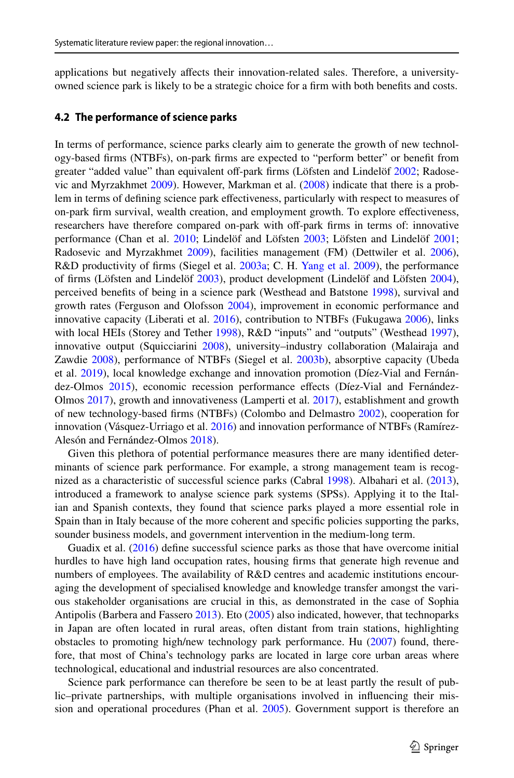applications but negatively afects their innovation-related sales. Therefore, a universityowned science park is likely to be a strategic choice for a frm with both benefts and costs.

## **4.2 The performance of science parks**

In terms of performance, science parks clearly aim to generate the growth of new technology-based frms (NTBFs), on-park frms are expected to "perform better" or beneft from greater "added value" than equivalent of-park frms (Löfsten and Lindelöf [2002](#page-30-8); Radosevic and Myrzakhmet [2009\)](#page-31-9). However, Markman et al. [\(2008](#page-30-11)) indicate that there is a problem in terms of defning science park efectiveness, particularly with respect to measures of on-park frm survival, wealth creation, and employment growth. To explore efectiveness, researchers have therefore compared on-park with off-park firms in terms of: innovative performance (Chan et al. [2010](#page-26-9); Lindelöf and Löfsten [2003;](#page-29-6) Löfsten and Lindelöf [2001;](#page-30-7) Radosevic and Myrzakhmet [2009](#page-31-9)), facilities management (FM) (Dettwiler et al. [2006](#page-27-9)), R&D productivity of frms (Siegel et al. [2003a](#page-31-10); C. H. [Yang et al. 2009](#page-32-10)), the performance of frms (Löfsten and Lindelöf [2003\)](#page-30-9), product development (Lindelöf and Löfsten [2004](#page-29-7)), perceived benefts of being in a science park (Westhead and Batstone [1998\)](#page-32-8), survival and growth rates (Ferguson and Olofsson [2004\)](#page-28-7), improvement in economic performance and innovative capacity (Liberati et al. [2016](#page-29-8)), contribution to NTBFs (Fukugawa [2006](#page-28-5)), links with local HEIs (Storey and Tether [1998](#page-31-5)), R&D "inputs" and "outputs" (Westhead [1997](#page-32-3)), innovative output (Squicciarini [2008](#page-31-11)), university–industry collaboration (Malairaja and Zawdie [2008](#page-30-0)), performance of NTBFs (Siegel et al. [2003b\)](#page-31-12), absorptive capacity (Ubeda et al. [2019\)](#page-32-11), local knowledge exchange and innovation promotion (Díez-Vial and Fernán-dez-Olmos [2015](#page-27-10)), economic recession performance effects (Díez-Vial and Fernández-Olmos [2017\)](#page-27-11), growth and innovativeness (Lamperti et al. [2017\)](#page-29-9), establishment and growth of new technology-based frms (NTBFs) (Colombo and Delmastro [2002\)](#page-27-12), cooperation for innovation (Vásquez-Urriago et al. [2016](#page-32-12)) and innovation performance of NTBFs (Ramírez-Alesón and Fernández-Olmos [2018\)](#page-31-13).

Given this plethora of potential performance measures there are many identifed determinants of science park performance. For example, a strong management team is recognized as a characteristic of successful science parks (Cabral [1998\)](#page-26-6). Albahari et al. [\(2013](#page-25-2)), introduced a framework to analyse science park systems (SPSs). Applying it to the Italian and Spanish contexts, they found that science parks played a more essential role in Spain than in Italy because of the more coherent and specifc policies supporting the parks, sounder business models, and government intervention in the medium-long term.

Guadix et al. [\(2016](#page-28-8)) defne successful science parks as those that have overcome initial hurdles to have high land occupation rates, housing frms that generate high revenue and numbers of employees. The availability of R&D centres and academic institutions encouraging the development of specialised knowledge and knowledge transfer amongst the various stakeholder organisations are crucial in this, as demonstrated in the case of Sophia Antipolis (Barbera and Fassero [2013](#page-26-10)). Eto [\(2005](#page-27-13)) also indicated, however, that technoparks in Japan are often located in rural areas, often distant from train stations, highlighting obstacles to promoting high/new technology park performance. Hu ([2007\)](#page-28-9) found, therefore, that most of China's technology parks are located in large core urban areas where technological, educational and industrial resources are also concentrated.

Science park performance can therefore be seen to be at least partly the result of public–private partnerships, with multiple organisations involved in infuencing their mis-sion and operational procedures (Phan et al. [2005](#page-31-6)). Government support is therefore an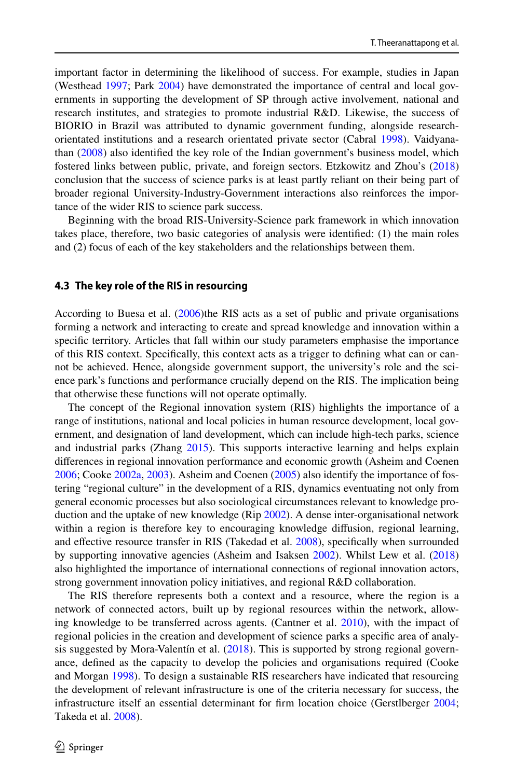important factor in determining the likelihood of success. For example, studies in Japan (Westhead [1997](#page-32-3); Park [2004](#page-30-12)) have demonstrated the importance of central and local governments in supporting the development of SP through active involvement, national and research institutes, and strategies to promote industrial R&D. Likewise, the success of BIORIO in Brazil was attributed to dynamic government funding, alongside researchorientated institutions and a research orientated private sector (Cabral [1998\)](#page-26-6). Vaidyanathan [\(2008](#page-32-13)) also identifed the key role of the Indian government's business model, which fostered links between public, private, and foreign sectors. Etzkowitz and Zhou's [\(2018](#page-28-10)) conclusion that the success of science parks is at least partly reliant on their being part of broader regional University-Industry-Government interactions also reinforces the importance of the wider RIS to science park success.

Beginning with the broad RIS-University-Science park framework in which innovation takes place, therefore, two basic categories of analysis were identifed: (1) the main roles and (2) focus of each of the key stakeholders and the relationships between them.

## **4.3 The key role of the RIS in resourcing**

According to Buesa et al. [\(2006](#page-26-11))the RIS acts as a set of public and private organisations forming a network and interacting to create and spread knowledge and innovation within a specifc territory. Articles that fall within our study parameters emphasise the importance of this RIS context. Specifcally, this context acts as a trigger to defning what can or cannot be achieved. Hence, alongside government support, the university's role and the science park's functions and performance crucially depend on the RIS. The implication being that otherwise these functions will not operate optimally.

The concept of the Regional innovation system (RIS) highlights the importance of a range of institutions, national and local policies in human resource development, local government, and designation of land development, which can include high-tech parks, science and industrial parks (Zhang [2015\)](#page-32-4). This supports interactive learning and helps explain diferences in regional innovation performance and economic growth (Asheim and Coenen [2006;](#page-26-1) Cooke [2002a,](#page-27-14) [2003\)](#page-27-15). Asheim and Coenen ([2005\)](#page-26-3) also identify the importance of fostering "regional culture" in the development of a RIS, dynamics eventuating not only from general economic processes but also sociological circumstances relevant to knowledge production and the uptake of new knowledge (Rip [2002\)](#page-31-1). A dense inter-organisational network within a region is therefore key to encouraging knowledge difusion, regional learning, and efective resource transfer in RIS (Takedad et al. [2008\)](#page-31-0), specifcally when surrounded by supporting innovative agencies (Asheim and Isaksen [2002\)](#page-26-2). Whilst Lew et al. [\(2018](#page-29-0)) also highlighted the importance of international connections of regional innovation actors, strong government innovation policy initiatives, and regional R&D collaboration.

The RIS therefore represents both a context and a resource, where the region is a network of connected actors, built up by regional resources within the network, allowing knowledge to be transferred across agents. (Cantner et al. [2010\)](#page-26-12), with the impact of regional policies in the creation and development of science parks a specifc area of analysis suggested by Mora-Valentín et al. [\(2018](#page-30-13)). This is supported by strong regional governance, defned as the capacity to develop the policies and organisations required (Cooke and Morgan [1998\)](#page-27-4). To design a sustainable RIS researchers have indicated that resourcing the development of relevant infrastructure is one of the criteria necessary for success, the infrastructure itself an essential determinant for frm location choice (Gerstlberger [2004;](#page-28-2) Takeda et al. [2008](#page-31-0)).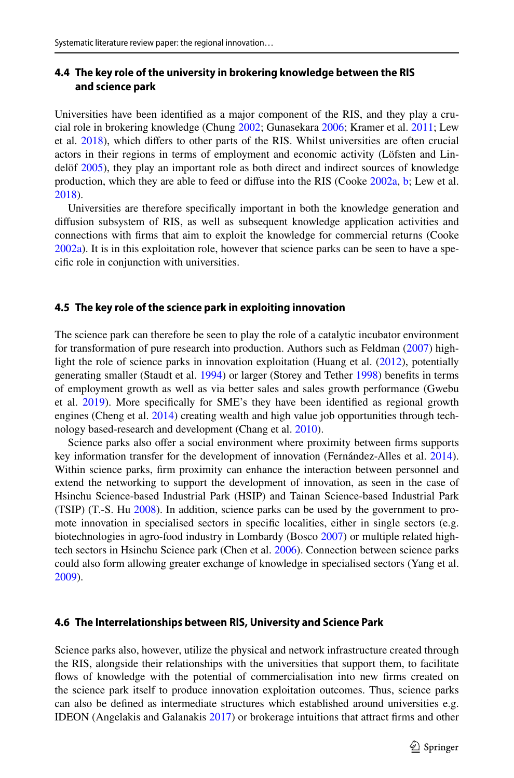## **4.4 The key role of the university in brokering knowledge between the RIS and science park**

Universities have been identifed as a major component of the RIS, and they play a crucial role in brokering knowledge (Chung [2002;](#page-27-16) Gunasekara [2006](#page-28-0); Kramer et al. [2011;](#page-29-10) Lew et al. [2018](#page-29-0)), which difers to other parts of the RIS. Whilst universities are often crucial actors in their regions in terms of employment and economic activity (Löfsten and Lindelöf [2005](#page-30-14)), they play an important role as both direct and indirect sources of knowledge production, which they are able to feed or difuse into the RIS (Cooke [2002a,](#page-27-14) [b;](#page-27-17) Lew et al. [2018\)](#page-29-0).

Universities are therefore specifcally important in both the knowledge generation and difusion subsystem of RIS, as well as subsequent knowledge application activities and connections with frms that aim to exploit the knowledge for commercial returns (Cooke [2002a\)](#page-27-14). It is in this exploitation role, however that science parks can be seen to have a specifc role in conjunction with universities.

#### **4.5 The key role of the science park in exploiting innovation**

The science park can therefore be seen to play the role of a catalytic incubator environment for transformation of pure research into production. Authors such as Feldman ([2007\)](#page-28-11) highlight the role of science parks in innovation exploitation (Huang et al. ([2012\)](#page-29-3), potentially generating smaller (Staudt et al. [1994](#page-31-14)) or larger (Storey and Tether [1998](#page-31-5)) benefts in terms of employment growth as well as via better sales and sales growth performance (Gwebu et al. [2019\)](#page-28-12). More specifcally for SME's they have been identifed as regional growth engines (Cheng et al. [2014\)](#page-27-6) creating wealth and high value job opportunities through technology based-research and development (Chang et al. [2010](#page-26-13)).

Science parks also offer a social environment where proximity between firms supports key information transfer for the development of innovation (Fernández-Alles et al. [2014](#page-28-13)). Within science parks, frm proximity can enhance the interaction between personnel and extend the networking to support the development of innovation, as seen in the case of Hsinchu Science-based Industrial Park (HSIP) and Tainan Science-based Industrial Park (TSIP) (T.-S. Hu [2008\)](#page-29-11). In addition, science parks can be used by the government to promote innovation in specialised sectors in specific localities, either in single sectors (e.g. biotechnologies in agro-food industry in Lombardy (Bosco [2007\)](#page-26-14) or multiple related hightech sectors in Hsinchu Science park (Chen et al. [2006\)](#page-26-15). Connection between science parks could also form allowing greater exchange of knowledge in specialised sectors (Yang et al. [2009\)](#page-32-14).

#### **4.6 The Interrelationships between RIS, University and Science Park**

Science parks also, however, utilize the physical and network infrastructure created through the RIS, alongside their relationships with the universities that support them, to facilitate flows of knowledge with the potential of commercialisation into new firms created on the science park itself to produce innovation exploitation outcomes. Thus, science parks can also be defned as intermediate structures which established around universities e.g. IDEON (Angelakis and Galanakis [2017](#page-26-16)) or brokerage intuitions that attract frms and other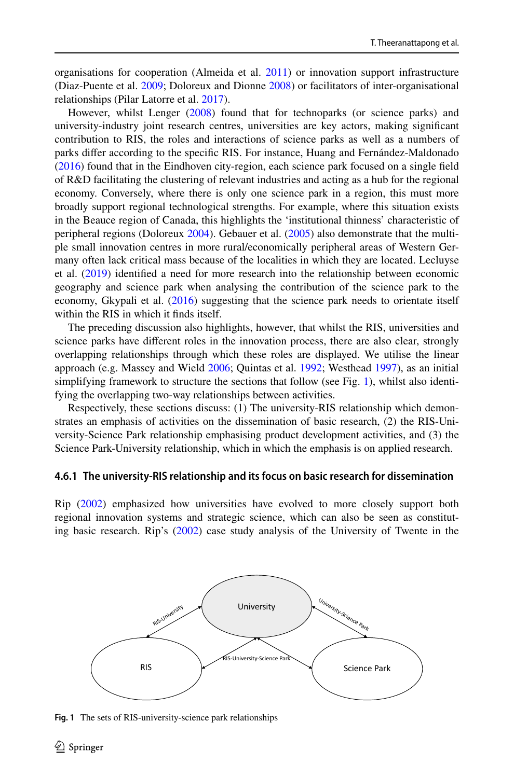organisations for cooperation (Almeida et al. [2011](#page-26-17)) or innovation support infrastructure (Diaz-Puente et al. [2009;](#page-27-18) Doloreux and Dionne [2008](#page-27-19)) or facilitators of inter-organisational relationships (Pilar Latorre et al. [2017](#page-31-15)).

However, whilst Lenger [\(2008](#page-29-12)) found that for technoparks (or science parks) and university-industry joint research centres, universities are key actors, making signifcant contribution to RIS, the roles and interactions of science parks as well as a numbers of parks difer according to the specifc RIS. For instance, Huang and Fernández-Maldonado ([2016\)](#page-29-13) found that in the Eindhoven city-region, each science park focused on a single feld of R&D facilitating the clustering of relevant industries and acting as a hub for the regional economy. Conversely, where there is only one science park in a region, this must more broadly support regional technological strengths. For example, where this situation exists in the Beauce region of Canada, this highlights the 'institutional thinness' characteristic of peripheral regions (Doloreux [2004](#page-27-20)). Gebauer et al. ([2005\)](#page-28-14) also demonstrate that the multiple small innovation centres in more rural/economically peripheral areas of Western Germany often lack critical mass because of the localities in which they are located. Lecluyse et al. ([2019\)](#page-29-14) identifed a need for more research into the relationship between economic geography and science park when analysing the contribution of the science park to the economy, Gkypali et al. ([2016\)](#page-28-15) suggesting that the science park needs to orientate itself within the RIS in which it fnds itself.

The preceding discussion also highlights, however, that whilst the RIS, universities and science parks have diferent roles in the innovation process, there are also clear, strongly overlapping relationships through which these roles are displayed. We utilise the linear approach (e.g. Massey and Wield [2006;](#page-30-15) Quintas et al. [1992](#page-31-16); Westhead [1997\)](#page-32-3), as an initial simplifying framework to structure the sections that follow (see Fig. [1\)](#page-13-0), whilst also identifying the overlapping two-way relationships between activities.

Respectively, these sections discuss: (1) The university-RIS relationship which demonstrates an emphasis of activities on the dissemination of basic research, (2) the RIS-University-Science Park relationship emphasising product development activities, and (3) the Science Park-University relationship, which in which the emphasis is on applied research.

### **4.6.1 The university‑RIS relationship and its focus on basic research for dissemination**

Rip ([2002\)](#page-31-1) emphasized how universities have evolved to more closely support both regional innovation systems and strategic science, which can also be seen as constituting basic research. Rip's ([2002\)](#page-31-1) case study analysis of the University of Twente in the



<span id="page-13-0"></span>**Fig. 1** The sets of RIS-university-science park relationships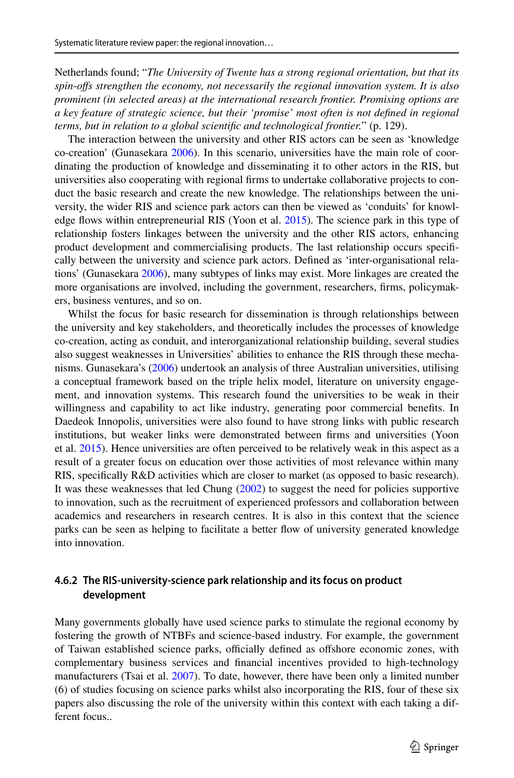Netherlands found; "*The University of Twente has a strong regional orientation, but that its spin*-*ofs strengthen the economy, not necessarily the regional innovation system. It is also prominent (in selected areas) at the international research frontier. Promising options are a key feature of strategic science, but their 'promise' most often is not defned in regional terms, but in relation to a global scientifc and technological frontier.*" (p. 129).

The interaction between the university and other RIS actors can be seen as 'knowledge co-creation' (Gunasekara [2006\)](#page-28-0). In this scenario, universities have the main role of coordinating the production of knowledge and disseminating it to other actors in the RIS, but universities also cooperating with regional frms to undertake collaborative projects to conduct the basic research and create the new knowledge. The relationships between the university, the wider RIS and science park actors can then be viewed as 'conduits' for knowledge fows within entrepreneurial RIS (Yoon et al. [2015](#page-32-15)). The science park in this type of relationship fosters linkages between the university and the other RIS actors, enhancing product development and commercialising products. The last relationship occurs specifcally between the university and science park actors. Defned as 'inter-organisational relations' (Gunasekara [2006](#page-28-0)), many subtypes of links may exist. More linkages are created the more organisations are involved, including the government, researchers, frms, policymakers, business ventures, and so on.

Whilst the focus for basic research for dissemination is through relationships between the university and key stakeholders, and theoretically includes the processes of knowledge co-creation, acting as conduit, and interorganizational relationship building, several studies also suggest weaknesses in Universities' abilities to enhance the RIS through these mechanisms. Gunasekara's [\(2006](#page-28-0)) undertook an analysis of three Australian universities, utilising a conceptual framework based on the triple helix model, literature on university engagement, and innovation systems. This research found the universities to be weak in their willingness and capability to act like industry, generating poor commercial benefts. In Daedeok Innopolis, universities were also found to have strong links with public research institutions, but weaker links were demonstrated between frms and universities (Yoon et al. [2015\)](#page-32-15). Hence universities are often perceived to be relatively weak in this aspect as a result of a greater focus on education over those activities of most relevance within many RIS, specifcally R&D activities which are closer to market (as opposed to basic research). It was these weaknesses that led Chung [\(2002](#page-27-16)) to suggest the need for policies supportive to innovation, such as the recruitment of experienced professors and collaboration between academics and researchers in research centres. It is also in this context that the science parks can be seen as helping to facilitate a better fow of university generated knowledge into innovation.

## **4.6.2 The RIS‑university‑science park relationship and its focus on product development**

Many governments globally have used science parks to stimulate the regional economy by fostering the growth of NTBFs and science-based industry. For example, the government of Taiwan established science parks, officially defined as offshore economic zones, with complementary business services and fnancial incentives provided to high-technology manufacturers (Tsai et al. [2007\)](#page-32-16). To date, however, there have been only a limited number (6) of studies focusing on science parks whilst also incorporating the RIS, four of these six papers also discussing the role of the university within this context with each taking a different focus..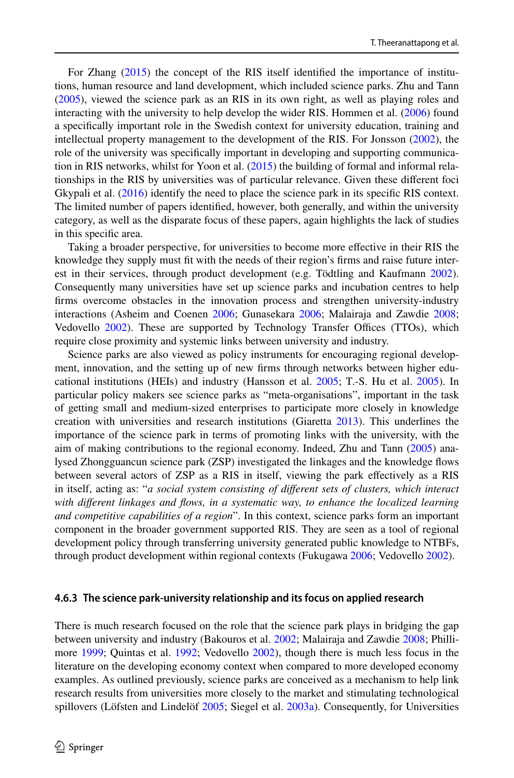For Zhang ([2015\)](#page-32-4) the concept of the RIS itself identifed the importance of institutions, human resource and land development, which included science parks. Zhu and Tann ([2005\)](#page-32-17), viewed the science park as an RIS in its own right, as well as playing roles and interacting with the university to help develop the wider RIS. Hommen et al. ([2006\)](#page-28-16) found a specifcally important role in the Swedish context for university education, training and intellectual property management to the development of the RIS. For Jonsson [\(2002](#page-29-15)), the role of the university was specifcally important in developing and supporting communication in RIS networks, whilst for Yoon et al. [\(2015](#page-32-15)) the building of formal and informal relationships in the RIS by universities was of particular relevance. Given these diferent foci Gkypali et al. [\(2016](#page-28-15)) identify the need to place the science park in its specific RIS context. The limited number of papers identifed, however, both generally, and within the university category, as well as the disparate focus of these papers, again highlights the lack of studies in this specifc area.

Taking a broader perspective, for universities to become more efective in their RIS the knowledge they supply must ft with the needs of their region's frms and raise future interest in their services, through product development (e.g. Tödtling and Kaufmann [2002](#page-32-18)). Consequently many universities have set up science parks and incubation centres to help frms overcome obstacles in the innovation process and strengthen university-industry interactions (Asheim and Coenen [2006;](#page-26-1) Gunasekara [2006;](#page-28-0) Malairaja and Zawdie [2008;](#page-30-0) Vedovello [2002\)](#page-32-1). These are supported by Technology Transfer Offices (TTOs), which require close proximity and systemic links between university and industry.

Science parks are also viewed as policy instruments for encouraging regional development, innovation, and the setting up of new frms through networks between higher educational institutions (HEIs) and industry (Hansson et al. [2005;](#page-28-6) T.-S. Hu et al. [2005\)](#page-29-16). In particular policy makers see science parks as "meta-organisations", important in the task of getting small and medium-sized enterprises to participate more closely in knowledge creation with universities and research institutions (Giaretta [2013\)](#page-28-17). This underlines the importance of the science park in terms of promoting links with the university, with the aim of making contributions to the regional economy. Indeed, Zhu and Tann [\(2005](#page-32-17)) analysed Zhongguancun science park (ZSP) investigated the linkages and the knowledge fows between several actors of ZSP as a RIS in itself, viewing the park efectively as a RIS in itself, acting as: "*a social system consisting of diferent sets of clusters, which interact with diferent linkages and fows, in a systematic way, to enhance the localized learning and competitive capabilities of a region*". In this context, science parks form an important component in the broader government supported RIS. They are seen as a tool of regional development policy through transferring university generated public knowledge to NTBFs, through product development within regional contexts (Fukugawa [2006;](#page-28-5) Vedovello [2002\)](#page-32-1).

#### **4.6.3 The science park‑university relationship and its focus on applied research**

There is much research focused on the role that the science park plays in bridging the gap between university and industry (Bakouros et al. [2002](#page-26-4); Malairaja and Zawdie [2008;](#page-30-0) Phillimore [1999](#page-31-17); Quintas et al. [1992;](#page-31-16) Vedovello [2002](#page-32-1)), though there is much less focus in the literature on the developing economy context when compared to more developed economy examples. As outlined previously, science parks are conceived as a mechanism to help link research results from universities more closely to the market and stimulating technological spillovers (Löfsten and Lindelöf [2005;](#page-30-14) Siegel et al. [2003a\)](#page-31-10). Consequently, for Universities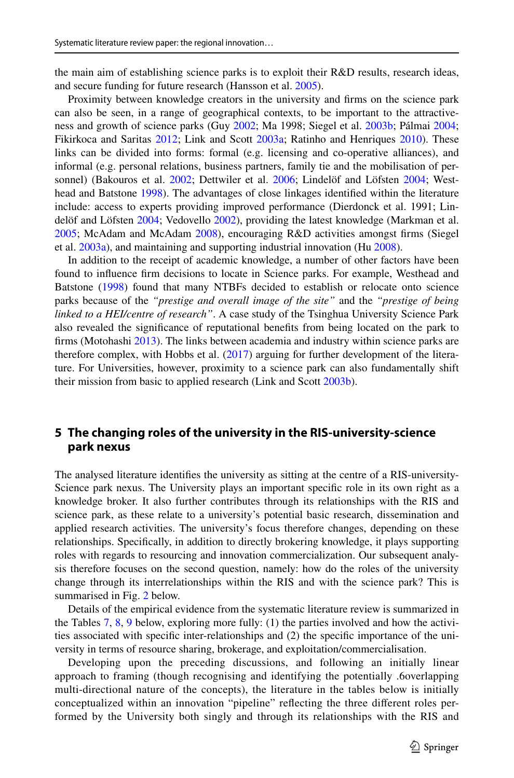the main aim of establishing science parks is to exploit their R&D results, research ideas, and secure funding for future research (Hansson et al. [2005](#page-28-6)).

Proximity between knowledge creators in the university and frms on the science park can also be seen, in a range of geographical contexts, to be important to the attractiveness and growth of science parks (Guy [2002;](#page-28-18) Ma 1998; Siegel et al. [2003b](#page-31-12); Pálmai [2004;](#page-30-16) Fikirkoca and Saritas [2012](#page-28-19); Link and Scott [2003a;](#page-30-4) Ratinho and Henriques [2010\)](#page-31-18). These links can be divided into forms: formal (e.g. licensing and co-operative alliances), and informal (e.g. personal relations, business partners, family tie and the mobilisation of per-sonnel) (Bakouros et al. [2002](#page-26-4); Dettwiler et al. [2006](#page-27-9); Lindelöf and Löfsten [2004](#page-29-7); Westhead and Batstone [1998](#page-32-8)). The advantages of close linkages identifed within the literature include: access to experts providing improved performance (Dierdonck et al. 1991; Lindelöf and Löfsten [2004](#page-29-7); Vedovello [2002\)](#page-32-1), providing the latest knowledge (Markman et al. [2005;](#page-30-17) McAdam and McAdam [2008](#page-30-18)), encouraging R&D activities amongst frms (Siegel et al. [2003a\)](#page-31-10), and maintaining and supporting industrial innovation (Hu [2008](#page-29-11)).

In addition to the receipt of academic knowledge, a number of other factors have been found to infuence frm decisions to locate in Science parks. For example, Westhead and Batstone [\(1998](#page-32-8)) found that many NTBFs decided to establish or relocate onto science parks because of the *"prestige and overall image of the site"* and the *"prestige of being linked to a HEI/centre of research"*. A case study of the Tsinghua University Science Park also revealed the signifcance of reputational benefts from being located on the park to frms (Motohashi [2013\)](#page-30-19). The links between academia and industry within science parks are therefore complex, with Hobbs et al. ([2017\)](#page-28-20) arguing for further development of the literature. For Universities, however, proximity to a science park can also fundamentally shift their mission from basic to applied research (Link and Scott [2003b](#page-30-5)).

## **5 The changing roles of the university in the RIS‑university‑science park nexus**

The analysed literature identifes the university as sitting at the centre of a RIS-university-Science park nexus. The University plays an important specifc role in its own right as a knowledge broker. It also further contributes through its relationships with the RIS and science park, as these relate to a university's potential basic research, dissemination and applied research activities. The university's focus therefore changes, depending on these relationships. Specifcally, in addition to directly brokering knowledge, it plays supporting roles with regards to resourcing and innovation commercialization. Our subsequent analysis therefore focuses on the second question, namely: how do the roles of the university change through its interrelationships within the RIS and with the science park? This is summarised in Fig. [2](#page-17-0) below.

Details of the empirical evidence from the systematic literature review is summarized in the Tables [7,](#page-18-0) [8](#page-19-0), [9](#page-21-0) below, exploring more fully: (1) the parties involved and how the activities associated with specifc inter-relationships and (2) the specifc importance of the university in terms of resource sharing, brokerage, and exploitation/commercialisation.

Developing upon the preceding discussions, and following an initially linear approach to framing (though recognising and identifying the potentially .6overlapping multi-directional nature of the concepts), the literature in the tables below is initially conceptualized within an innovation "pipeline" refecting the three diferent roles performed by the University both singly and through its relationships with the RIS and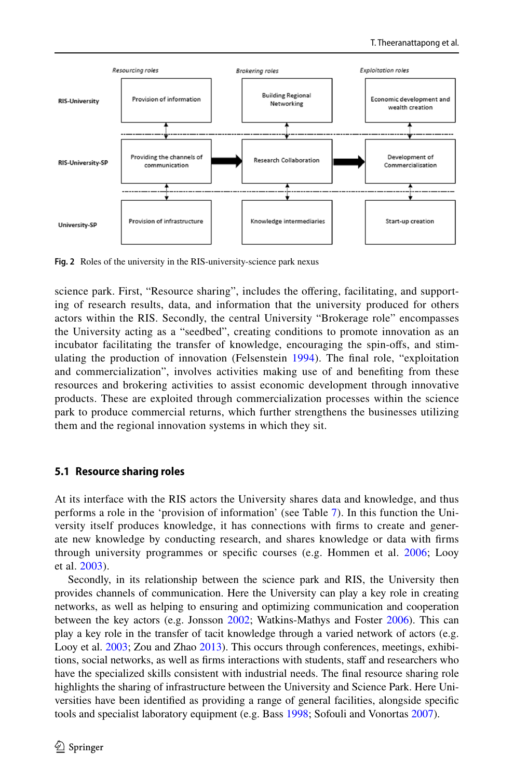

<span id="page-17-0"></span>**Fig. 2** Roles of the university in the RIS-university-science park nexus

science park. First, "Resource sharing", includes the ofering, facilitating, and supporting of research results, data, and information that the university produced for others actors within the RIS. Secondly, the central University "Brokerage role" encompasses the University acting as a "seedbed", creating conditions to promote innovation as an incubator facilitating the transfer of knowledge, encouraging the spin-ofs, and stimulating the production of innovation (Felsenstein [1994](#page-28-21)). The fnal role, "exploitation and commercialization", involves activities making use of and benefting from these resources and brokering activities to assist economic development through innovative products. These are exploited through commercialization processes within the science park to produce commercial returns, which further strengthens the businesses utilizing them and the regional innovation systems in which they sit.

## **5.1 Resource sharing roles**

At its interface with the RIS actors the University shares data and knowledge, and thus performs a role in the 'provision of information' (see Table [7](#page-18-0)). In this function the University itself produces knowledge, it has connections with frms to create and generate new knowledge by conducting research, and shares knowledge or data with frms through university programmes or specifc courses (e.g. Hommen et al. [2006](#page-28-16); Looy et al. [2003\)](#page-30-20).

Secondly, in its relationship between the science park and RIS, the University then provides channels of communication. Here the University can play a key role in creating networks, as well as helping to ensuring and optimizing communication and cooperation between the key actors (e.g. Jonsson [2002;](#page-29-15) Watkins-Mathys and Foster [2006\)](#page-32-19). This can play a key role in the transfer of tacit knowledge through a varied network of actors (e.g. Looy et al. [2003](#page-30-20); Zou and Zhao [2013\)](#page-33-0). This occurs through conferences, meetings, exhibitions, social networks, as well as frms interactions with students, staf and researchers who have the specialized skills consistent with industrial needs. The fnal resource sharing role highlights the sharing of infrastructure between the University and Science Park. Here Universities have been identifed as providing a range of general facilities, alongside specifc tools and specialist laboratory equipment (e.g. Bass [1998;](#page-26-7) Sofouli and Vonortas [2007\)](#page-31-7).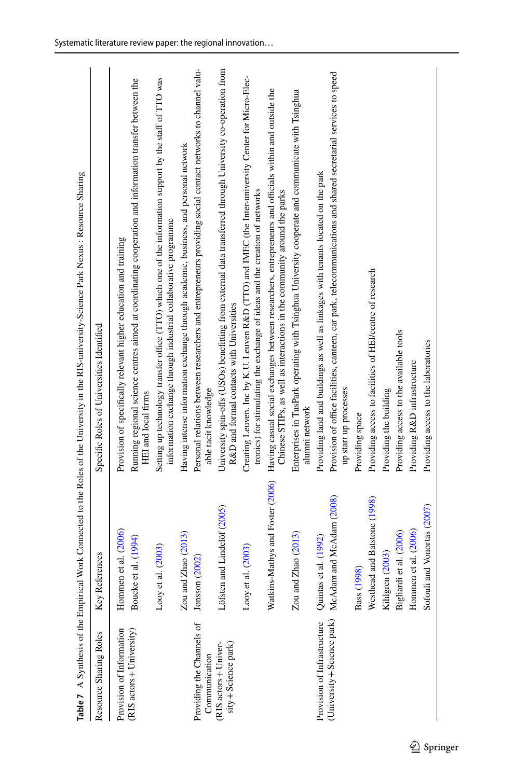<span id="page-18-0"></span>

|                                               |                                  | Table 7 A Synthesis of the Empirical Work Connected to the Roles of the University in the RIS-university-Science Park Nexus : Resource Sharing                                     |
|-----------------------------------------------|----------------------------------|------------------------------------------------------------------------------------------------------------------------------------------------------------------------------------|
| Resource Sharing Roles                        | Key References                   | Specific Roles of Universities Identified                                                                                                                                          |
| Provision of Information                      | Hommen et al. (2006)             | Provision of specifically relevant higher education and training                                                                                                                   |
| (RIS actors + University)                     | Boucke et al. (1994)             | Running regional science centres aimed at coordinating cooperation and information transfer between the<br>HEI and local firms                                                     |
|                                               | Looy et al. (2003)               | Setting up technology transfer office (TTO) which one of the information support by the staff of TTO was<br>information exchange through industrial collaborative programme        |
|                                               | Zou and Zhao (2013)              | Having intense information exchange through academic, business, and personal network                                                                                               |
| Providing the Channels of<br>Communication    | Jonsson (2002)                   | Personal relations between researchers and entrepreneurs providing social contact networks to channel valu-<br>able tacit knowledge                                                |
| sity + Science park)<br>(RIS actors + Univer- | Löfsten and Lindelöf (2005)      | University spin-offs (USOs) benefitting from external data transferred through University co-operation from<br>R&D and formal contacts with Universities                           |
|                                               | Looy et al. (2003)               | Creating Leuven. Inc by K.U. Leuven R&D (TTO) and IMEC (the Inter-university Center for Micro-Elec-<br>tronics) for stimulating the exchange of ideas and the creation of networks |
|                                               | Watkins-Mathys and Foster (2006) | Having casual social exchanges between researchers, entrepreneurs and officials within and outside the<br>Chinese STIPs, as well as interactions in the community around the parks |
|                                               | Zou and Zhao (2013)              | Enterprises in TusPark operating with Tsinghua University cooperate and communicate with Tsinghua<br>alunni network                                                                |
| Provision of Infrastructure                   | Quintas et al. (1992)            | Providing land and buildings as well as linkages with tenants located on the park                                                                                                  |
| (University + Science park)                   | McAdam and McAdam (2008)         | Provision of office facilities, canteen, car park, telecommunications and shared secretarial services to speed<br>up start up processes                                            |
|                                               | 1998)<br>Bass (                  | Providing space                                                                                                                                                                    |
|                                               | Westhead and Batstone (1998)     | Providing access to facilities of HEI/centre of research                                                                                                                           |
|                                               | Kihlgren (2003)                  | Providing the building                                                                                                                                                             |
|                                               | Bigliardi et al. (2006)          | Providing access to the available tools                                                                                                                                            |
|                                               | Hommen et al. (2006)             | Providing R&D infrastructure                                                                                                                                                       |
|                                               | li and Vonortas (2007)<br>Sofoul | Providing access to the laboratories                                                                                                                                               |
|                                               |                                  |                                                                                                                                                                                    |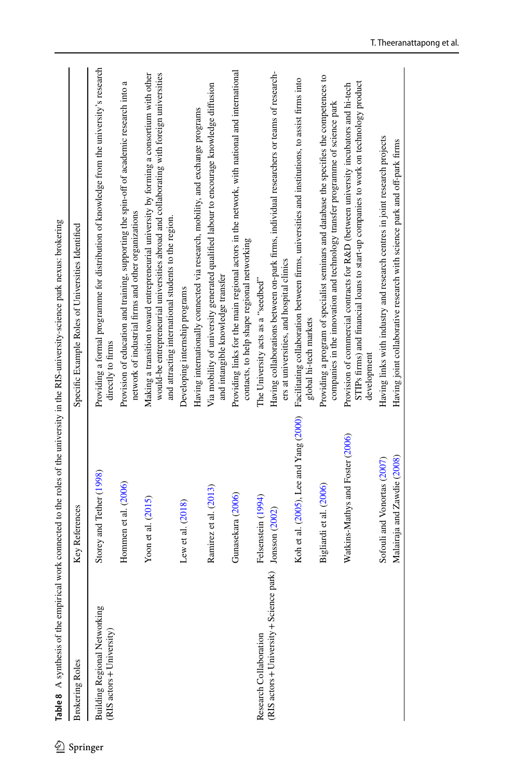| <b>Brokering Roles</b>                                              | Key References                         | Specific Example Roles of Universities Identified                                                                                                                                                                                            |
|---------------------------------------------------------------------|----------------------------------------|----------------------------------------------------------------------------------------------------------------------------------------------------------------------------------------------------------------------------------------------|
| Building Regional Networking<br>$(RIS, \text{actors} + University)$ | Storey and Tether (1998)               | Providing a formal programme for distribution of knowledge from the university's research<br>directly to firms                                                                                                                               |
|                                                                     | Hommen et al. (2006)                   | Provision of education and training, supporting the spin-off of academic research into a<br>network of industrial firms and other organizations                                                                                              |
|                                                                     | Yoon et al. $(2015)$                   | Making a transition toward entrepreneurial university by forming a consortium with other<br>would-be entrepreneurial universities abroad and collaborating with foreign universities<br>and attracting international students to the region. |
|                                                                     | Lew et al. (2018)                      | Developing internship programs                                                                                                                                                                                                               |
|                                                                     |                                        | Having internationally connected via research, mobility, and exchange programs                                                                                                                                                               |
|                                                                     | Ramirez et al. (2013)                  | Via mobility of university generated qualified labour to encourage knowledge diffusion<br>and intangible knowledge transfer                                                                                                                  |
|                                                                     | Gunasekara (2006)                      | Providing links for the main regional actors in the network, with national and international<br>contacts, to help shape regional networking                                                                                                  |
| Research Collaboration                                              | Felsenstein (1994)                     | The University acts as a "seedbed"                                                                                                                                                                                                           |
| (RIS actors + University + Science                                  | park) Jonsson (2002)                   | Having collaborations between on-park firms, individual researchers or teams of research-<br>ers at universities, and hospital clinics                                                                                                       |
|                                                                     | Koh et al. (2005), Lee and Yang (2000) | Facilitating collaboration between firms, universities and institutions, to assist firms into<br>global hi-tech markets                                                                                                                      |
|                                                                     | Bigliardi et al. (2006)                | Providing a program of specialist seminars and database the specifies the competences to<br>companies in the innovation and technology transfer programme of science park                                                                    |
|                                                                     | Watkins-Mathys and Foster (2006)       | STIPs firms) and financial loans to start-up companies to work on technology product<br>Provision of commercial contracts for R&D (between university incubators and hi-tech<br>development                                                  |
|                                                                     | Sofouli and Vonortas (2007)            | Having links with industry and research centres in joint research projects                                                                                                                                                                   |
|                                                                     | Malairaja and Zawdie (2008)            | Having joint collaborative research with science park and off-park firms                                                                                                                                                                     |

<span id="page-19-0"></span>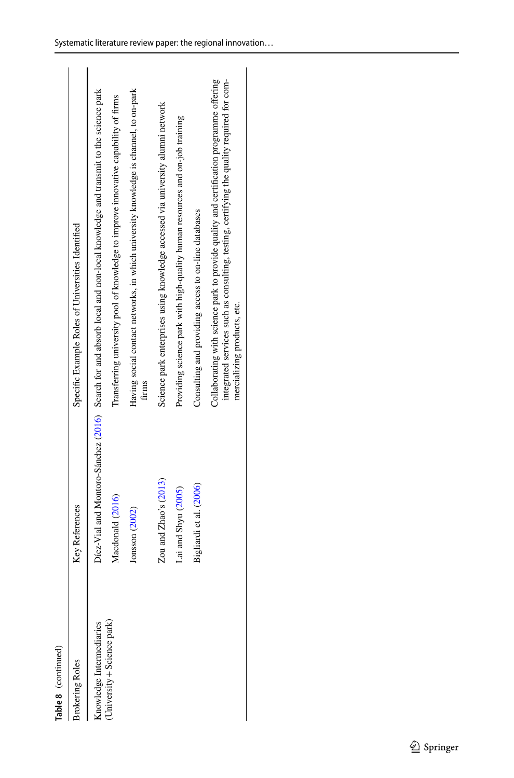| œ |
|---|
|   |
|   |
|   |

| Table 8 (continued)        |                            |                                                                                                                                                                                                                     |
|----------------------------|----------------------------|---------------------------------------------------------------------------------------------------------------------------------------------------------------------------------------------------------------------|
| <b>Brokering Roles</b>     | <b>Key References</b>      | Specific Example Roles of Universities Identified                                                                                                                                                                   |
| Knowledge Intermediaries   |                            | Díez-Vial and Montorc-Sánchez (2016) Search for and absorb local and non-local knowledge and transmit to the science park                                                                                           |
| University + Science park) | Macdonald (2016)           | Transferring university pool of knowledge to improve innovative capability of firms                                                                                                                                 |
|                            | Jonsson (2002)             | Having social contact networks, in which university knowledge is channel, to on-park<br>firms                                                                                                                       |
|                            | Zou and $Z$ hao's $(2013)$ | Science park enterprises using knowledge accessed via university alumni network                                                                                                                                     |
|                            | Lai and Shyu (2005)        | Providing science park with high-quality human resources and on-job training                                                                                                                                        |
|                            | Bigliardi et al. (2006)    | Consulting and providing access to on-line databases                                                                                                                                                                |
|                            |                            | Collaborating with science park to provide quality and certification programme offering<br>integrated services such as consulting, testing, certifying the quality required for com-<br>mercializing products, etc. |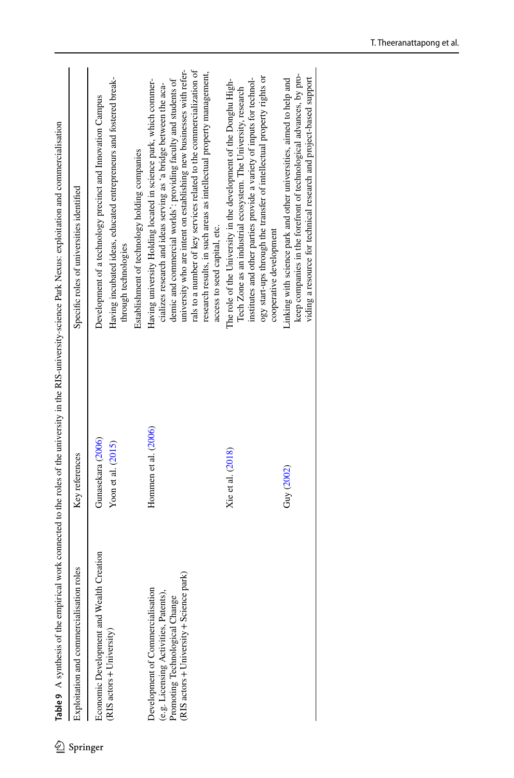| ℒ        |                                                                                                                                                        |                                         | Table 9 A synthesis of the empirical work connected to the toles of the university in the RIS-university-science Park Nexus: exploitation and commercialisation                                                                                                                                                                                                                                                                                                                                                   |
|----------|--------------------------------------------------------------------------------------------------------------------------------------------------------|-----------------------------------------|-------------------------------------------------------------------------------------------------------------------------------------------------------------------------------------------------------------------------------------------------------------------------------------------------------------------------------------------------------------------------------------------------------------------------------------------------------------------------------------------------------------------|
| Springer | roles<br>Exploitation and commercialisation                                                                                                            | Key references                          | Specific roles of universities identified                                                                                                                                                                                                                                                                                                                                                                                                                                                                         |
|          | Economic Development and Wealth Creation<br>(RIS actors + University)                                                                                  | Gunasekara (2006)<br>Yoon et al. (2015) | Having incubated ideas, educated entrepreneurs and fostered break-<br>Development of a technology precinct and Innovation Campus<br>through technologies                                                                                                                                                                                                                                                                                                                                                          |
|          | RIS actors + University + Science park)<br>Development of Commercialisation<br>(e.g. Licensing Activities, Patents),<br>Promoting Technological Change | Hommen et al. (2006)                    | university who are intent on establishing new businesses with refer-<br>rals to a number of key services related to the commercialization of<br>research results, in such areas as intellectual property management,<br>demic and commercial worlds': providing faculty and students of<br>Having university Holding located in science park, which commer-<br>cializes research and ideas serving as 'a bridge between the aca-<br>Establishment of technology holding companies<br>access to seed capital, etc. |
|          |                                                                                                                                                        | Xie et al. (2018)                       | ogy start-ups through the transfer of intellectual property rights or<br>institutes and other parties provide a variety of inputs for technol-<br>The role of the University in the development of the Donghu High-<br>Tech Zone as an industrial ecosystem. The University, research<br>cooperative development                                                                                                                                                                                                  |
|          |                                                                                                                                                        | Guy (2002)                              | keep companies in the forefront of technological advances, by pro-<br>viding a resource for technical research and project-based support<br>Linking with science park and other universities, aimed to help and                                                                                                                                                                                                                                                                                                   |

<span id="page-21-0"></span> $\sum_{i=1}^{n}$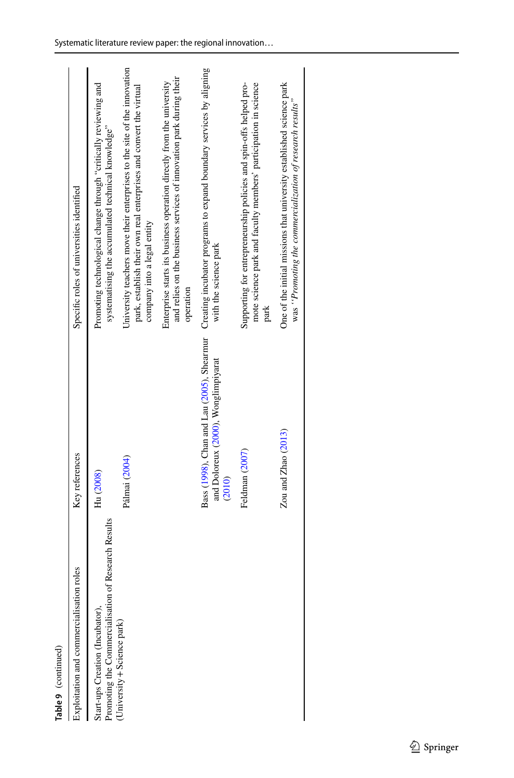| Table 9 (continued)                                                                       |                                               |                                                                                                                                                                               |
|-------------------------------------------------------------------------------------------|-----------------------------------------------|-------------------------------------------------------------------------------------------------------------------------------------------------------------------------------|
| roles<br>Exploitation and commercialisation                                               | Key references                                | Specific roles of universities identified                                                                                                                                     |
| of Research Results<br>Promoting the Commercialisation<br>Start-ups Creation (Incubator), | Hu (2008)                                     | Promoting technological change through "critically reviewing and<br>systematising the accumulated technical knowledge"                                                        |
| (University + Science park)                                                               | Pálmai (2004)                                 | University teachers move their enterprises to the site of the innovation<br>park, establish their own real enterprises and convert the virtual<br>company into a legal entity |
|                                                                                           |                                               | and relies on the business services of innovation park during their<br>Enterprise starts its business operation directly from the university<br>operation                     |
|                                                                                           | and Doloreux (2000), Wonglimpiyarat<br>(2010) | Bass (1998), Chan and Lau (2005), Shearmur Creating incubator programs to expand boundary services by aligning<br>with the science park                                       |
|                                                                                           | Feldman (2007)                                | Supporting for entrepreneurship policies and spin-offs helped pro-<br>mote science park and faculty members' participation in science<br>park                                 |
|                                                                                           | $Z_{\text{OU and Zhao}}(2013)$                | One of the initial missions that university established science park<br>was "Promoting the commercialization of research results"                                             |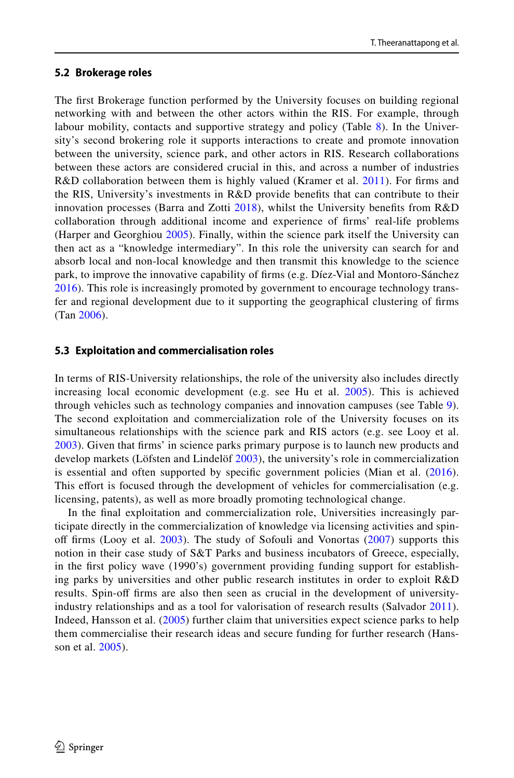## **5.2 Brokerage roles**

The frst Brokerage function performed by the University focuses on building regional networking with and between the other actors within the RIS. For example, through labour mobility, contacts and supportive strategy and policy (Table [8](#page-19-0)). In the University's second brokering role it supports interactions to create and promote innovation between the university, science park, and other actors in RIS. Research collaborations between these actors are considered crucial in this, and across a number of industries R&D collaboration between them is highly valued (Kramer et al. [2011\)](#page-29-10). For firms and the RIS, University's investments in R&D provide benefts that can contribute to their innovation processes (Barra and Zotti  $2018$ ), whilst the University benefits from R&D collaboration through additional income and experience of frms' real-life problems (Harper and Georghiou [2005](#page-28-22)). Finally, within the science park itself the University can then act as a "knowledge intermediary". In this role the university can search for and absorb local and non-local knowledge and then transmit this knowledge to the science park, to improve the innovative capability of frms (e.g. Díez-Vial and Montoro-Sánchez [2016](#page-27-21)). This role is increasingly promoted by government to encourage technology transfer and regional development due to it supporting the geographical clustering of frms (Tan [2006\)](#page-31-21).

## **5.3 Exploitation and commercialisation roles**

In terms of RIS-University relationships, the role of the university also includes directly increasing local economic development (e.g. see Hu et al. [2005\)](#page-29-16). This is achieved through vehicles such as technology companies and innovation campuses (see Table [9\)](#page-21-0). The second exploitation and commercialization role of the University focuses on its simultaneous relationships with the science park and RIS actors (e.g. see Looy et al. [2003](#page-30-20)). Given that frms' in science parks primary purpose is to launch new products and develop markets (Löfsten and Lindelöf [2003\)](#page-30-9), the university's role in commercialization is essential and often supported by specific government policies (Mian et al. [\(2016\)](#page-30-22). This effort is focused through the development of vehicles for commercialisation (e.g. licensing, patents), as well as more broadly promoting technological change.

In the fnal exploitation and commercialization role, Universities increasingly participate directly in the commercialization of knowledge via licensing activities and spinoff firms (Looy et al.  $2003$ ). The study of Sofouli and Vonortas ( $2007$ ) supports this notion in their case study of S&T Parks and business incubators of Greece, especially, in the frst policy wave (1990's) government providing funding support for establishing parks by universities and other public research institutes in order to exploit R&D results. Spin-of frms are also then seen as crucial in the development of universityindustry relationships and as a tool for valorisation of research results (Salvador [2011\)](#page-31-22). Indeed, Hansson et al. [\(2005\)](#page-28-6) further claim that universities expect science parks to help them commercialise their research ideas and secure funding for further research (Hansson et al. [2005](#page-28-6)).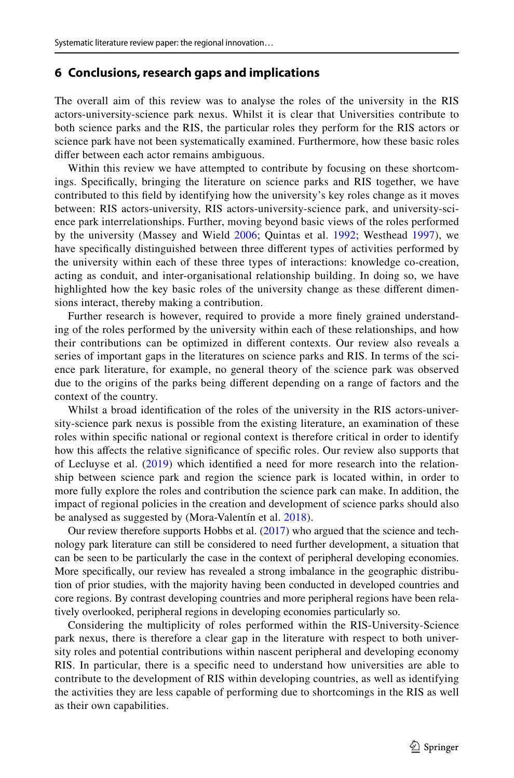## **6 Conclusions, research gaps and implications**

The overall aim of this review was to analyse the roles of the university in the RIS actors-university-science park nexus. Whilst it is clear that Universities contribute to both science parks and the RIS, the particular roles they perform for the RIS actors or science park have not been systematically examined. Furthermore, how these basic roles difer between each actor remains ambiguous.

Within this review we have attempted to contribute by focusing on these shortcomings. Specifcally, bringing the literature on science parks and RIS together, we have contributed to this feld by identifying how the university's key roles change as it moves between: RIS actors-university, RIS actors-university-science park, and university-science park interrelationships. Further, moving beyond basic views of the roles performed by the university (Massey and Wield [2006](#page-30-15); Quintas et al. [1992](#page-31-16); Westhead [1997](#page-32-3)), we have specifcally distinguished between three diferent types of activities performed by the university within each of these three types of interactions: knowledge co-creation, acting as conduit, and inter-organisational relationship building. In doing so, we have highlighted how the key basic roles of the university change as these diferent dimensions interact, thereby making a contribution.

Further research is however, required to provide a more fnely grained understanding of the roles performed by the university within each of these relationships, and how their contributions can be optimized in diferent contexts. Our review also reveals a series of important gaps in the literatures on science parks and RIS. In terms of the science park literature, for example, no general theory of the science park was observed due to the origins of the parks being diferent depending on a range of factors and the context of the country.

Whilst a broad identifcation of the roles of the university in the RIS actors-university-science park nexus is possible from the existing literature, an examination of these roles within specifc national or regional context is therefore critical in order to identify how this afects the relative signifcance of specifc roles. Our review also supports that of Lecluyse et al. ([2019](#page-29-14)) which identifed a need for more research into the relationship between science park and region the science park is located within, in order to more fully explore the roles and contribution the science park can make. In addition, the impact of regional policies in the creation and development of science parks should also be analysed as suggested by (Mora-Valentín et al. [2018](#page-30-13)).

Our review therefore supports Hobbs et al. [\(2017](#page-28-20)) who argued that the science and technology park literature can still be considered to need further development, a situation that can be seen to be particularly the case in the context of peripheral developing economies. More specifcally, our review has revealed a strong imbalance in the geographic distribution of prior studies, with the majority having been conducted in developed countries and core regions. By contrast developing countries and more peripheral regions have been relatively overlooked, peripheral regions in developing economies particularly so.

Considering the multiplicity of roles performed within the RIS-University-Science park nexus, there is therefore a clear gap in the literature with respect to both university roles and potential contributions within nascent peripheral and developing economy RIS. In particular, there is a specifc need to understand how universities are able to contribute to the development of RIS within developing countries, as well as identifying the activities they are less capable of performing due to shortcomings in the RIS as well as their own capabilities.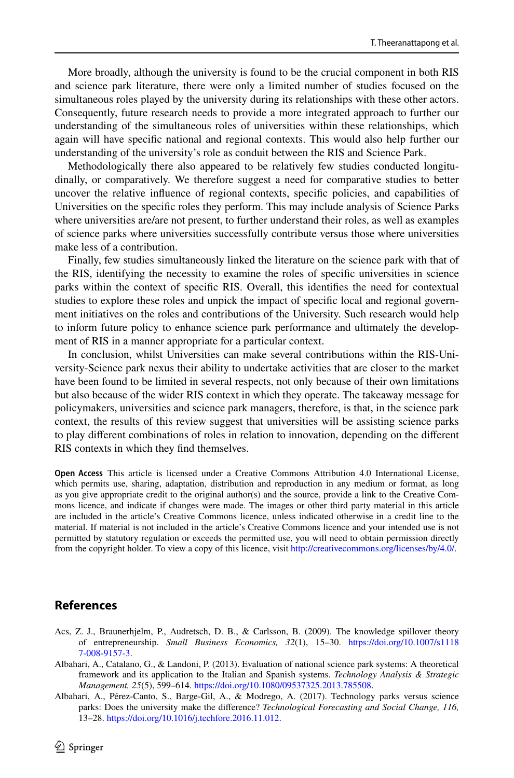More broadly, although the university is found to be the crucial component in both RIS and science park literature, there were only a limited number of studies focused on the simultaneous roles played by the university during its relationships with these other actors. Consequently, future research needs to provide a more integrated approach to further our understanding of the simultaneous roles of universities within these relationships, which again will have specifc national and regional contexts. This would also help further our understanding of the university's role as conduit between the RIS and Science Park.

Methodologically there also appeared to be relatively few studies conducted longitudinally, or comparatively. We therefore suggest a need for comparative studies to better uncover the relative infuence of regional contexts, specifc policies, and capabilities of Universities on the specifc roles they perform. This may include analysis of Science Parks where universities are/are not present, to further understand their roles, as well as examples of science parks where universities successfully contribute versus those where universities make less of a contribution.

Finally, few studies simultaneously linked the literature on the science park with that of the RIS, identifying the necessity to examine the roles of specifc universities in science parks within the context of specifc RIS. Overall, this identifes the need for contextual studies to explore these roles and unpick the impact of specifc local and regional government initiatives on the roles and contributions of the University. Such research would help to inform future policy to enhance science park performance and ultimately the development of RIS in a manner appropriate for a particular context.

In conclusion, whilst Universities can make several contributions within the RIS-University-Science park nexus their ability to undertake activities that are closer to the market have been found to be limited in several respects, not only because of their own limitations but also because of the wider RIS context in which they operate. The takeaway message for policymakers, universities and science park managers, therefore, is that, in the science park context, the results of this review suggest that universities will be assisting science parks to play diferent combinations of roles in relation to innovation, depending on the diferent RIS contexts in which they fnd themselves.

**Open Access** This article is licensed under a Creative Commons Attribution 4.0 International License, which permits use, sharing, adaptation, distribution and reproduction in any medium or format, as long as you give appropriate credit to the original author(s) and the source, provide a link to the Creative Commons licence, and indicate if changes were made. The images or other third party material in this article are included in the article's Creative Commons licence, unless indicated otherwise in a credit line to the material. If material is not included in the article's Creative Commons licence and your intended use is not permitted by statutory regulation or exceeds the permitted use, you will need to obtain permission directly from the copyright holder. To view a copy of this licence, visit [http://creativecommons.org/licenses/by/4.0/.](http://creativecommons.org/licenses/by/4.0/)

## **References**

- <span id="page-25-0"></span>Acs, Z. J., Braunerhjelm, P., Audretsch, D. B., & Carlsson, B. (2009). The knowledge spillover theory of entrepreneurship. *Small Business Economics, 32*(1), 15–30. [https://doi.org/10.1007/s1118](https://doi.org/10.1007/s11187-008-9157-3) [7-008-9157-3](https://doi.org/10.1007/s11187-008-9157-3).
- <span id="page-25-2"></span>Albahari, A., Catalano, G., & Landoni, P. (2013). Evaluation of national science park systems: A theoretical framework and its application to the Italian and Spanish systems. *Technology Analysis & Strategic Management, 25*(5), 599–614. [https://doi.org/10.1080/09537325.2013.785508.](https://doi.org/10.1080/09537325.2013.785508)
- <span id="page-25-1"></span>Albahari, A., Pérez-Canto, S., Barge-Gil, A., & Modrego, A. (2017). Technology parks versus science parks: Does the university make the diference? *Technological Forecasting and Social Change, 116,* 13–28. [https://doi.org/10.1016/j.techfore.2016.11.012.](https://doi.org/10.1016/j.techfore.2016.11.012)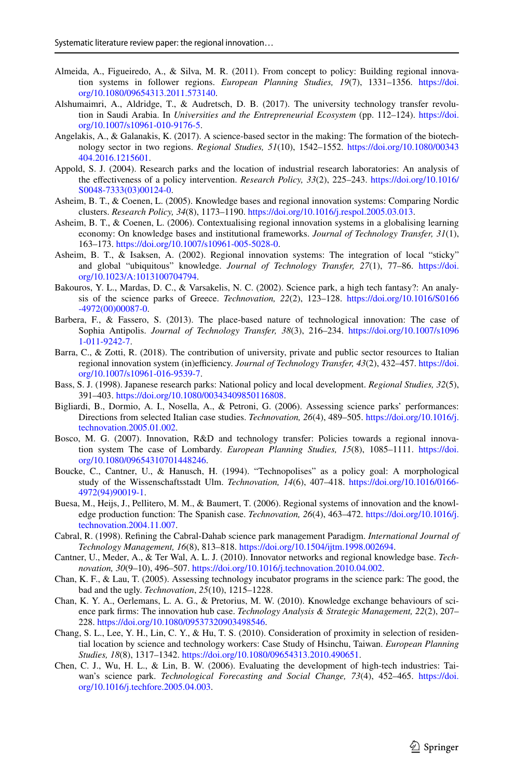- <span id="page-26-17"></span>Almeida, A., Figueiredo, A., & Silva, M. R. (2011). From concept to policy: Building regional innovation systems in follower regions. *European Planning Studies, 19*(7), 1331–1356. [https://doi.](https://doi.org/10.1080/09654313.2011.573140) [org/10.1080/09654313.2011.573140](https://doi.org/10.1080/09654313.2011.573140).
- <span id="page-26-8"></span>Alshumaimri, A., Aldridge, T., & Audretsch, D. B. (2017). The university technology transfer revolution in Saudi Arabia. In *Universities and the Entrepreneurial Ecosystem* (pp. 112–124). [https://doi.](https://doi.org/10.1007/s10961-010-9176-5) [org/10.1007/s10961-010-9176-5](https://doi.org/10.1007/s10961-010-9176-5).
- <span id="page-26-16"></span>Angelakis, A., & Galanakis, K. (2017). A science-based sector in the making: The formation of the biotechnology sector in two regions. *Regional Studies, 51*(10), 1542–1552. [https://doi.org/10.1080/00343](https://doi.org/10.1080/00343404.2016.1215601) [404.2016.1215601](https://doi.org/10.1080/00343404.2016.1215601).
- <span id="page-26-0"></span>Appold, S. J. (2004). Research parks and the location of industrial research laboratories: An analysis of the efectiveness of a policy intervention. *Research Policy, 33*(2), 225–243. [https://doi.org/10.1016/](https://doi.org/10.1016/S0048-7333(03)00124-0) [S0048-7333\(03\)00124-0](https://doi.org/10.1016/S0048-7333(03)00124-0).
- <span id="page-26-3"></span>Asheim, B. T., & Coenen, L. (2005). Knowledge bases and regional innovation systems: Comparing Nordic clusters. *Research Policy, 34*(8), 1173–1190.<https://doi.org/10.1016/j.respol.2005.03.013>.
- <span id="page-26-1"></span>Asheim, B. T., & Coenen, L. (2006). Contextualising regional innovation systems in a globalising learning economy: On knowledge bases and institutional frameworks. *Journal of Technology Transfer, 31*(1), 163–173. [https://doi.org/10.1007/s10961-005-5028-0.](https://doi.org/10.1007/s10961-005-5028-0)
- <span id="page-26-2"></span>Asheim, B. T., & Isaksen, A. (2002). Regional innovation systems: The integration of local "sticky" and global "ubiquitous" knowledge. *Journal of Technology Transfer, 27*(1), 77–86. [https://doi.](https://doi.org/10.1023/A:1013100704794) [org/10.1023/A:1013100704794](https://doi.org/10.1023/A:1013100704794).
- <span id="page-26-4"></span>Bakouros, Y. L., Mardas, D. C., & Varsakelis, N. C. (2002). Science park, a high tech fantasy?: An analysis of the science parks of Greece. *Technovation, 22*(2), 123–128. [https://doi.org/10.1016/S0166](https://doi.org/10.1016/S0166-4972(00)00087-0) [-4972\(00\)00087-0.](https://doi.org/10.1016/S0166-4972(00)00087-0)
- <span id="page-26-10"></span>Barbera, F., & Fassero, S. (2013). The place-based nature of technological innovation: The case of Sophia Antipolis. *Journal of Technology Transfer, 38*(3), 216–234. [https://doi.org/10.1007/s1096](https://doi.org/10.1007/s10961-011-9242-7) [1-011-9242-7](https://doi.org/10.1007/s10961-011-9242-7).
- <span id="page-26-20"></span>Barra, C., & Zotti, R. (2018). The contribution of university, private and public sector resources to Italian regional innovation system (in)efficiency. *Journal of Technology Transfer*, 43(2), 432–457. [https://doi.](https://doi.org/10.1007/s10961-016-9539-7) [org/10.1007/s10961-016-9539-7](https://doi.org/10.1007/s10961-016-9539-7).
- <span id="page-26-7"></span>Bass, S. J. (1998). Japanese research parks: National policy and local development. *Regional Studies, 32*(5), 391–403. [https://doi.org/10.1080/00343409850116808.](https://doi.org/10.1080/00343409850116808)
- <span id="page-26-18"></span>Bigliardi, B., Dormio, A. I., Nosella, A., & Petroni, G. (2006). Assessing science parks' performances: Directions from selected Italian case studies. *Technovation, 26*(4), 489–505. [https://doi.org/10.1016/j.](https://doi.org/10.1016/j.technovation.2005.01.002) [technovation.2005.01.002](https://doi.org/10.1016/j.technovation.2005.01.002).
- <span id="page-26-14"></span>Bosco, M. G. (2007). Innovation, R&D and technology transfer: Policies towards a regional innovation system The case of Lombardy. *European Planning Studies, 15*(8), 1085–1111. [https://doi.](https://doi.org/10.1080/09654310701448246) [org/10.1080/09654310701448246](https://doi.org/10.1080/09654310701448246).
- <span id="page-26-5"></span>Boucke, C., Cantner, U., & Hanusch, H. (1994). "Technopolises" as a policy goal: A morphological study of the Wissenschaftsstadt Ulm. *Technovation, 14*(6), 407–418. [https://doi.org/10.1016/0166-](https://doi.org/10.1016/0166-4972(94)90019-1) [4972\(94\)90019-1](https://doi.org/10.1016/0166-4972(94)90019-1).
- <span id="page-26-11"></span>Buesa, M., Heijs, J., Pellitero, M. M., & Baumert, T. (2006). Regional systems of innovation and the knowledge production function: The Spanish case. *Technovation, 26*(4), 463–472. [https://doi.org/10.1016/j.](https://doi.org/10.1016/j.technovation.2004.11.007) [technovation.2004.11.007](https://doi.org/10.1016/j.technovation.2004.11.007).
- <span id="page-26-6"></span>Cabral, R. (1998). Refning the Cabral-Dahab science park management Paradigm. *International Journal of Technology Management, 16*(8), 813–818. [https://doi.org/10.1504/ijtm.1998.002694.](https://doi.org/10.1504/ijtm.1998.002694)
- <span id="page-26-12"></span>Cantner, U., Meder, A., & Ter Wal, A. L. J. (2010). Innovator networks and regional knowledge base. *Technovation, 30*(9–10), 496–507. [https://doi.org/10.1016/j.technovation.2010.04.002.](https://doi.org/10.1016/j.technovation.2010.04.002)
- <span id="page-26-19"></span>Chan, K. F., & Lau, T. (2005). Assessing technology incubator programs in the science park: The good, the bad and the ugly. *Technovation*, *25*(10), 1215–1228.
- <span id="page-26-9"></span>Chan, K. Y. A., Oerlemans, L. A. G., & Pretorius, M. W. (2010). Knowledge exchange behaviours of science park frms: The innovation hub case. *Technology Analysis & Strategic Management, 22*(2), 207– 228. [https://doi.org/10.1080/09537320903498546.](https://doi.org/10.1080/09537320903498546)
- <span id="page-26-13"></span>Chang, S. L., Lee, Y. H., Lin, C. Y., & Hu, T. S. (2010). Consideration of proximity in selection of residential location by science and technology workers: Case Study of Hsinchu, Taiwan. *European Planning Studies, 18*(8), 1317–1342. <https://doi.org/10.1080/09654313.2010.490651>.
- <span id="page-26-15"></span>Chen, C. J., Wu, H. L., & Lin, B. W. (2006). Evaluating the development of high-tech industries: Taiwan's science park. *Technological Forecasting and Social Change, 73*(4), 452–465. [https://doi.](https://doi.org/10.1016/j.techfore.2005.04.003) [org/10.1016/j.techfore.2005.04.003](https://doi.org/10.1016/j.techfore.2005.04.003).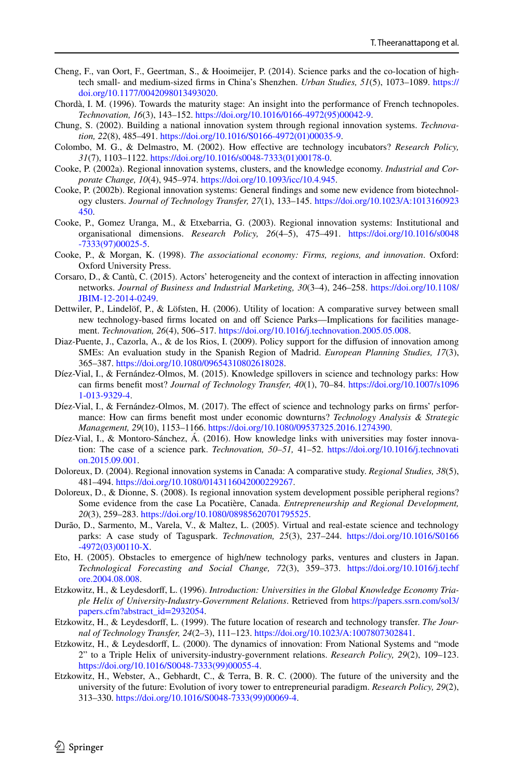- <span id="page-27-6"></span>Cheng, F., van Oort, F., Geertman, S., & Hooimeijer, P. (2014). Science parks and the co-location of hightech small- and medium-sized frms in China's Shenzhen. *Urban Studies, 51*(5), 1073–1089. [https://](https://doi.org/10.1177/0042098013493020) [doi.org/10.1177/0042098013493020](https://doi.org/10.1177/0042098013493020).
- <span id="page-27-7"></span>Chordà, I. M. (1996). Towards the maturity stage: An insight into the performance of French technopoles. *Technovation, 16*(3), 143–152. [https://doi.org/10.1016/0166-4972\(95\)00042-9](https://doi.org/10.1016/0166-4972(95)00042-9).
- <span id="page-27-16"></span>Chung, S. (2002). Building a national innovation system through regional innovation systems. *Technovation, 22*(8), 485–491. [https://doi.org/10.1016/S0166-4972\(01\)00035-9.](https://doi.org/10.1016/S0166-4972(01)00035-9)
- <span id="page-27-12"></span>Colombo, M. G., & Delmastro, M. (2002). How efective are technology incubators? *Research Policy, 31*(7), 1103–1122. [https://doi.org/10.1016/s0048-7333\(01\)00178-0.](https://doi.org/10.1016/s0048-7333(01)00178-0)
- <span id="page-27-14"></span>Cooke, P. (2002a). Regional innovation systems, clusters, and the knowledge economy. *Industrial and Corporate Change, 10*(4), 945–974. [https://doi.org/10.1093/icc/10.4.945.](https://doi.org/10.1093/icc/10.4.945)
- <span id="page-27-17"></span>Cooke, P. (2002b). Regional innovation systems: General fndings and some new evidence from biotechnology clusters. *Journal of Technology Transfer, 27*(1), 133–145. [https://doi.org/10.1023/A:1013160923](https://doi.org/10.1023/A:1013160923450) [450](https://doi.org/10.1023/A:1013160923450).
- <span id="page-27-15"></span>Cooke, P., Gomez Uranga, M., & Etxebarria, G. (2003). Regional innovation systems: Institutional and organisational dimensions. *Research Policy, 26*(4–5), 475–491. [https://doi.org/10.1016/s0048](https://doi.org/10.1016/s0048-7333(97)00025-5) [-7333\(97\)00025-5.](https://doi.org/10.1016/s0048-7333(97)00025-5)
- <span id="page-27-4"></span>Cooke, P., & Morgan, K. (1998). *The associational economy: Firms, regions, and innovation*. Oxford: Oxford University Press.
- <span id="page-27-8"></span>Corsaro, D., & Cantù, C. (2015). Actors' heterogeneity and the context of interaction in afecting innovation networks. *Journal of Business and Industrial Marketing, 30*(3–4), 246–258. [https://doi.org/10.1108/](https://doi.org/10.1108/JBIM-12-2014-0249) [JBIM-12-2014-0249](https://doi.org/10.1108/JBIM-12-2014-0249).
- <span id="page-27-9"></span>Dettwiler, P., Lindelöf, P., & Löfsten, H. (2006). Utility of location: A comparative survey between small new technology-based firms located on and off Science Parks—Implications for facilities management. *Technovation, 26*(4), 506–517. [https://doi.org/10.1016/j.technovation.2005.05.008.](https://doi.org/10.1016/j.technovation.2005.05.008)
- <span id="page-27-18"></span>Diaz-Puente, J., Cazorla, A., & de los Rios, I. (2009). Policy support for the difusion of innovation among SMEs: An evaluation study in the Spanish Region of Madrid. *European Planning Studies, 17*(3), 365–387. [https://doi.org/10.1080/09654310802618028.](https://doi.org/10.1080/09654310802618028)
- <span id="page-27-10"></span>Díez-Vial, I., & Fernández-Olmos, M. (2015). Knowledge spillovers in science and technology parks: How can frms beneft most? *Journal of Technology Transfer, 40*(1), 70–84. [https://doi.org/10.1007/s1096](https://doi.org/10.1007/s10961-013-9329-4) [1-013-9329-4](https://doi.org/10.1007/s10961-013-9329-4).
- <span id="page-27-11"></span>Díez-Vial, I., & Fernández-Olmos, M. (2017). The effect of science and technology parks on firms' performance: How can frms beneft most under economic downturns? *Technology Analysis & Strategic Management, 29*(10), 1153–1166. [https://doi.org/10.1080/09537325.2016.1274390.](https://doi.org/10.1080/09537325.2016.1274390)
- <span id="page-27-21"></span>Díez-Vial, I., & Montoro-Sánchez, Á. (2016). How knowledge links with universities may foster innovation: The case of a science park. *Technovation, 50–51,* 41–52. [https://doi.org/10.1016/j.technovati](https://doi.org/10.1016/j.technovation.2015.09.001) [on.2015.09.001](https://doi.org/10.1016/j.technovation.2015.09.001).
- <span id="page-27-20"></span>Doloreux, D. (2004). Regional innovation systems in Canada: A comparative study. *Regional Studies, 38*(5), 481–494. [https://doi.org/10.1080/0143116042000229267.](https://doi.org/10.1080/0143116042000229267)
- <span id="page-27-19"></span>Doloreux, D., & Dionne, S. (2008). Is regional innovation system development possible peripheral regions? Some evidence from the case La Pocatière, Canada. *Entrepreneurship and Regional Development, 20*(3), 259–283. <https://doi.org/10.1080/08985620701795525>.
- <span id="page-27-5"></span>Durão, D., Sarmento, M., Varela, V., & Maltez, L. (2005). Virtual and real-estate science and technology parks: A case study of Taguspark. *Technovation, 25*(3), 237–244. [https://doi.org/10.1016/S0166](https://doi.org/10.1016/S0166-4972(03)00110-X) [-4972\(03\)00110-X.](https://doi.org/10.1016/S0166-4972(03)00110-X)
- <span id="page-27-13"></span>Eto, H. (2005). Obstacles to emergence of high/new technology parks, ventures and clusters in Japan. *Technological Forecasting and Social Change, 72*(3), 359–373. [https://doi.org/10.1016/j.techf](https://doi.org/10.1016/j.techfore.2004.08.008) [ore.2004.08.008](https://doi.org/10.1016/j.techfore.2004.08.008).
- <span id="page-27-3"></span>Etzkowitz, H., & Leydesdorf, L. (1996). *Introduction: Universities in the Global Knowledge Economy Triaple Helix of University*-*Industry*-*Government Relations*. Retrieved from [https://papers.ssrn.com/sol3/](https://papers.ssrn.com/sol3/papers.cfm%3fabstract_id%3d2932054) [papers.cfm?abstract\\_id=2932054.](https://papers.ssrn.com/sol3/papers.cfm%3fabstract_id%3d2932054)
- <span id="page-27-0"></span>Etzkowitz, H., & Leydesdorf, L. (1999). The future location of research and technology transfer. *The Journal of Technology Transfer, 24*(2–3), 111–123. <https://doi.org/10.1023/A:1007807302841>.
- <span id="page-27-1"></span>Etzkowitz, H., & Leydesdorff, L. (2000). The dynamics of innovation: From National Systems and "mode 2" to a Triple Helix of university-industry-government relations. *Research Policy, 29*(2), 109–123. [https://doi.org/10.1016/S0048-7333\(99\)00055-4.](https://doi.org/10.1016/S0048-7333(99)00055-4)
- <span id="page-27-2"></span>Etzkowitz, H., Webster, A., Gebhardt, C., & Terra, B. R. C. (2000). The future of the university and the university of the future: Evolution of ivory tower to entrepreneurial paradigm. *Research Policy, 29*(2), 313–330. [https://doi.org/10.1016/S0048-7333\(99\)00069-4.](https://doi.org/10.1016/S0048-7333(99)00069-4)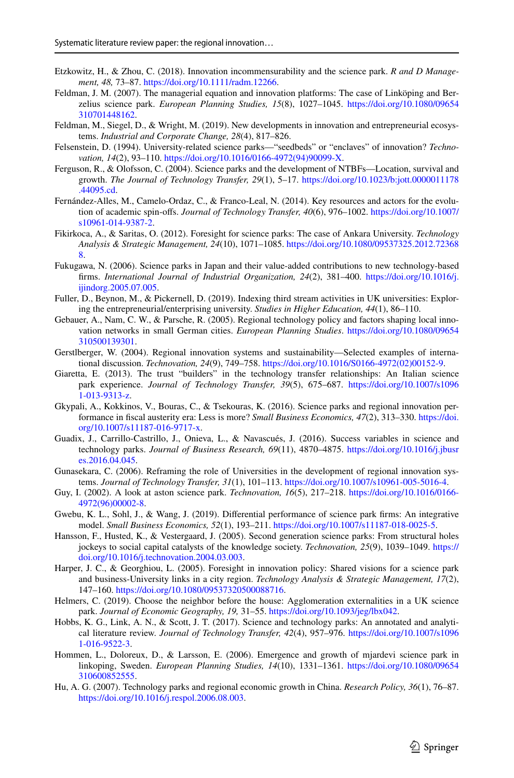- <span id="page-28-10"></span>Etzkowitz, H., & Zhou, C. (2018). Innovation incommensurability and the science park. *R and D Management, 48,* 73–87. [https://doi.org/10.1111/radm.12266.](https://doi.org/10.1111/radm.12266)
- <span id="page-28-11"></span>Feldman, J. M. (2007). The managerial equation and innovation platforms: The case of Linköping and Berzelius science park. *European Planning Studies, 15*(8), 1027–1045. [https://doi.org/10.1080/09654](https://doi.org/10.1080/09654310701448162) [310701448162](https://doi.org/10.1080/09654310701448162).
- <span id="page-28-1"></span>Feldman, M., Siegel, D., & Wright, M. (2019). New developments in innovation and entrepreneurial ecosystems. *Industrial and Corporate Change, 28*(4), 817–826.
- <span id="page-28-21"></span>Felsenstein, D. (1994). University-related science parks—"seedbeds" or "enclaves" of innovation? *Technovation, 14*(2), 93–110. [https://doi.org/10.1016/0166-4972\(94\)90099-X](https://doi.org/10.1016/0166-4972(94)90099-X).
- <span id="page-28-7"></span>Ferguson, R., & Olofsson, C. (2004). Science parks and the development of NTBFs—Location, survival and growth. *The Journal of Technology Transfer, 29*(1), 5–17. [https://doi.org/10.1023/b:jott.0000011178](https://doi.org/10.1023/b:jott.0000011178.44095.cd) [.44095.cd.](https://doi.org/10.1023/b:jott.0000011178.44095.cd)
- <span id="page-28-13"></span>Fernández-Alles, M., Camelo-Ordaz, C., & Franco-Leal, N. (2014). Key resources and actors for the evolution of academic spin-ofs. *Journal of Technology Transfer, 40*(6), 976–1002. [https://doi.org/10.1007/](https://doi.org/10.1007/s10961-014-9387-2) [s10961-014-9387-2](https://doi.org/10.1007/s10961-014-9387-2).
- <span id="page-28-19"></span>Fikirkoca, A., & Saritas, O. (2012). Foresight for science parks: The case of Ankara University. *Technology Analysis & Strategic Management, 24*(10), 1071–1085. [https://doi.org/10.1080/09537325.2012.72368](https://doi.org/10.1080/09537325.2012.723688) [8](https://doi.org/10.1080/09537325.2012.723688).
- <span id="page-28-5"></span>Fukugawa, N. (2006). Science parks in Japan and their value-added contributions to new technology-based frms. *International Journal of Industrial Organization, 24*(2), 381–400. [https://doi.org/10.1016/j.](https://doi.org/10.1016/j.ijindorg.2005.07.005) [ijindorg.2005.07.005](https://doi.org/10.1016/j.ijindorg.2005.07.005).
- <span id="page-28-3"></span>Fuller, D., Beynon, M., & Pickernell, D. (2019). Indexing third stream activities in UK universities: Exploring the entrepreneurial/enterprising university. *Studies in Higher Education, 44*(1), 86–110.
- <span id="page-28-14"></span>Gebauer, A., Nam, C. W., & Parsche, R. (2005). Regional technology policy and factors shaping local innovation networks in small German cities. *European Planning Studies*. [https://doi.org/10.1080/09654](https://doi.org/10.1080/09654310500139301) [310500139301](https://doi.org/10.1080/09654310500139301).
- <span id="page-28-2"></span>Gerstlberger, W. (2004). Regional innovation systems and sustainability—Selected examples of international discussion. *Technovation, 24*(9), 749–758. [https://doi.org/10.1016/S0166-4972\(02\)00152-9](https://doi.org/10.1016/S0166-4972(02)00152-9).
- <span id="page-28-17"></span>Giaretta, E. (2013). The trust "builders" in the technology transfer relationships: An Italian science park experience. *Journal of Technology Transfer, 39*(5), 675–687. [https://doi.org/10.1007/s1096](https://doi.org/10.1007/s10961-013-9313-z) [1-013-9313-z.](https://doi.org/10.1007/s10961-013-9313-z)
- <span id="page-28-15"></span>Gkypali, A., Kokkinos, V., Bouras, C., & Tsekouras, K. (2016). Science parks and regional innovation performance in fscal austerity era: Less is more? *Small Business Economics, 47*(2), 313–330. [https://doi.](https://doi.org/10.1007/s11187-016-9717-x) [org/10.1007/s11187-016-9717-x](https://doi.org/10.1007/s11187-016-9717-x).
- <span id="page-28-8"></span>Guadix, J., Carrillo-Castrillo, J., Onieva, L., & Navascués, J. (2016). Success variables in science and technology parks. *Journal of Business Research, 69*(11), 4870–4875. [https://doi.org/10.1016/j.jbusr](https://doi.org/10.1016/j.jbusres.2016.04.045) [es.2016.04.045.](https://doi.org/10.1016/j.jbusres.2016.04.045)
- <span id="page-28-0"></span>Gunasekara, C. (2006). Reframing the role of Universities in the development of regional innovation systems. *Journal of Technology Transfer, 31*(1), 101–113. <https://doi.org/10.1007/s10961-005-5016-4>.
- <span id="page-28-18"></span>Guy, I. (2002). A look at aston science park. *Technovation, 16*(5), 217–218. [https://doi.org/10.1016/0166-](https://doi.org/10.1016/0166-4972(96)00002-8) [4972\(96\)00002-8](https://doi.org/10.1016/0166-4972(96)00002-8).
- <span id="page-28-12"></span>Gwebu, K. L., Sohl, J., & Wang, J. (2019). Diferential performance of science park frms: An integrative model. *Small Business Economics, 52*(1), 193–211. <https://doi.org/10.1007/s11187-018-0025-5>.
- <span id="page-28-6"></span>Hansson, F., Husted, K., & Vestergaard, J. (2005). Second generation science parks: From structural holes jockeys to social capital catalysts of the knowledge society. *Technovation, 25*(9), 1039–1049. [https://](https://doi.org/10.1016/j.technovation.2004.03.003) [doi.org/10.1016/j.technovation.2004.03.003.](https://doi.org/10.1016/j.technovation.2004.03.003)
- <span id="page-28-22"></span>Harper, J. C., & Georghiou, L. (2005). Foresight in innovation policy: Shared visions for a science park and business-University links in a city region. *Technology Analysis & Strategic Management, 17*(2), 147–160. [https://doi.org/10.1080/09537320500088716.](https://doi.org/10.1080/09537320500088716)
- <span id="page-28-4"></span>Helmers, C. (2019). Choose the neighbor before the house: Agglomeration externalities in a UK science park. *Journal of Economic Geography, 19,* 31–55. [https://doi.org/10.1093/jeg/lbx042.](https://doi.org/10.1093/jeg/lbx042)
- <span id="page-28-20"></span>Hobbs, K. G., Link, A. N., & Scott, J. T. (2017). Science and technology parks: An annotated and analytical literature review. *Journal of Technology Transfer, 42*(4), 957–976. [https://doi.org/10.1007/s1096](https://doi.org/10.1007/s10961-016-9522-3) [1-016-9522-3](https://doi.org/10.1007/s10961-016-9522-3).
- <span id="page-28-16"></span>Hommen, L., Doloreux, D., & Larsson, E. (2006). Emergence and growth of mjardevi science park in linkoping, Sweden. *European Planning Studies, 14*(10), 1331–1361. [https://doi.org/10.1080/09654](https://doi.org/10.1080/09654310600852555) [310600852555](https://doi.org/10.1080/09654310600852555).
- <span id="page-28-9"></span>Hu, A. G. (2007). Technology parks and regional economic growth in China. *Research Policy, 36*(1), 76–87. <https://doi.org/10.1016/j.respol.2006.08.003>.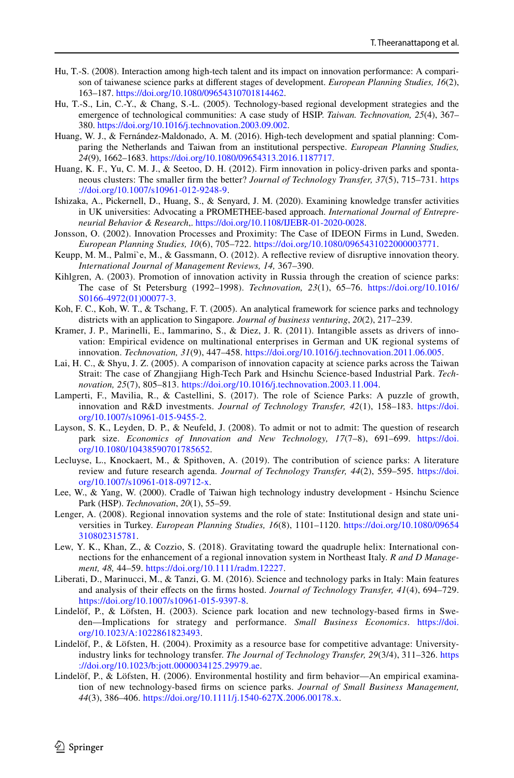- <span id="page-29-11"></span>Hu, T.-S. (2008). Interaction among high-tech talent and its impact on innovation performance: A comparison of taiwanese science parks at diferent stages of development. *European Planning Studies, 16*(2), 163–187. [https://doi.org/10.1080/09654310701814462.](https://doi.org/10.1080/09654310701814462)
- <span id="page-29-16"></span>Hu, T.-S., Lin, C.-Y., & Chang, S.-L. (2005). Technology-based regional development strategies and the emergence of technological communities: A case study of HSIP. *Taiwan. Technovation, 25*(4), 367– 380. [https://doi.org/10.1016/j.technovation.2003.09.002.](https://doi.org/10.1016/j.technovation.2003.09.002)
- <span id="page-29-13"></span>Huang, W. J., & Fernández-Maldonado, A. M. (2016). High-tech development and spatial planning: Comparing the Netherlands and Taiwan from an institutional perspective. *European Planning Studies, 24*(9), 1662–1683. <https://doi.org/10.1080/09654313.2016.1187717>.
- <span id="page-29-3"></span>Huang, K. F., Yu, C. M. J., & Seetoo, D. H. (2012). Firm innovation in policy-driven parks and spontaneous clusters: The smaller frm the better? *Journal of Technology Transfer, 37*(5), 715–731. [https](https://doi.org/10.1007/s10961-012-9248-9) [://doi.org/10.1007/s10961-012-9248-9](https://doi.org/10.1007/s10961-012-9248-9).
- <span id="page-29-1"></span>Ishizaka, A., Pickernell, D., Huang, S., & Senyard, J. M. (2020). Examining knowledge transfer activities in UK universities: Advocating a PROMETHEE-based approach. *International Journal of Entrepreneurial Behavior & Research*,. [https://doi.org/10.1108/IJEBR-01-2020-0028.](https://doi.org/10.1108/IJEBR-01-2020-0028)
- <span id="page-29-15"></span>Jonsson, O. (2002). Innovation Processes and Proximity: The Case of IDEON Firms in Lund, Sweden. *European Planning Studies, 10*(6), 705–722.<https://doi.org/10.1080/0965431022000003771>.
- <span id="page-29-2"></span>Keupp, M. M., Palmi`e, M., & Gassmann, O. (2012). A refective review of disruptive innovation theory. *International Journal of Management Reviews, 14,* 367–390.
- <span id="page-29-17"></span>Kihlgren, A. (2003). Promotion of innovation activity in Russia through the creation of science parks: The case of St Petersburg (1992–1998). *Technovation, 23*(1), 65–76. [https://doi.org/10.1016/](https://doi.org/10.1016/S0166-4972(01)00077-3) [S0166-4972\(01\)00077-3.](https://doi.org/10.1016/S0166-4972(01)00077-3)
- <span id="page-29-18"></span>Koh, F. C., Koh, W. T., & Tschang, F. T. (2005). An analytical framework for science parks and technology districts with an application to Singapore. *Journal of business venturing*, *20*(2), 217–239.
- <span id="page-29-10"></span>Kramer, J. P., Marinelli, E., Iammarino, S., & Diez, J. R. (2011). Intangible assets as drivers of innovation: Empirical evidence on multinational enterprises in German and UK regional systems of innovation. *Technovation, 31*(9), 447–458. [https://doi.org/10.1016/j.technovation.2011.06.005.](https://doi.org/10.1016/j.technovation.2011.06.005)
- <span id="page-29-20"></span>Lai, H. C., & Shyu, J. Z. (2005). A comparison of innovation capacity at science parks across the Taiwan Strait: The case of Zhangjiang High-Tech Park and Hsinchu Science-based Industrial Park. *Technovation, 25*(7), 805–813.<https://doi.org/10.1016/j.technovation.2003.11.004>.
- <span id="page-29-9"></span>Lamperti, F., Mavilia, R., & Castellini, S. (2017). The role of Science Parks: A puzzle of growth, innovation and R&D investments. *Journal of Technology Transfer, 42*(1), 158–183. [https://doi.](https://doi.org/10.1007/s10961-015-9455-2) [org/10.1007/s10961-015-9455-2.](https://doi.org/10.1007/s10961-015-9455-2)
- <span id="page-29-5"></span>Layson, S. K., Leyden, D. P., & Neufeld, J. (2008). To admit or not to admit: The question of research park size. *Economics of Innovation and New Technology, 17*(7–8), 691–699. [https://doi.](https://doi.org/10.1080/10438590701785652) [org/10.1080/10438590701785652.](https://doi.org/10.1080/10438590701785652)
- <span id="page-29-14"></span>Lecluyse, L., Knockaert, M., & Spithoven, A. (2019). The contribution of science parks: A literature review and future research agenda. *Journal of Technology Transfer, 44*(2), 559–595. [https://doi.](https://doi.org/10.1007/s10961-018-09712-x) [org/10.1007/s10961-018-09712-x.](https://doi.org/10.1007/s10961-018-09712-x)
- <span id="page-29-19"></span>Lee, W., & Yang, W. (2000). Cradle of Taiwan high technology industry development - Hsinchu Science Park (HSP). *Technovation*, *20*(1), 55–59.
- <span id="page-29-12"></span>Lenger, A. (2008). Regional innovation systems and the role of state: Institutional design and state universities in Turkey. *European Planning Studies, 16*(8), 1101–1120. [https://doi.org/10.1080/09654](https://doi.org/10.1080/09654310802315781) [310802315781.](https://doi.org/10.1080/09654310802315781)
- <span id="page-29-0"></span>Lew, Y. K., Khan, Z., & Cozzio, S. (2018). Gravitating toward the quadruple helix: International connections for the enhancement of a regional innovation system in Northeast Italy. *R and D Management, 48,* 44–59. <https://doi.org/10.1111/radm.12227>.
- <span id="page-29-8"></span>Liberati, D., Marinucci, M., & Tanzi, G. M. (2016). Science and technology parks in Italy: Main features and analysis of their efects on the frms hosted. *Journal of Technology Transfer, 41*(4), 694–729. <https://doi.org/10.1007/s10961-015-9397-8>.
- <span id="page-29-6"></span>Lindelöf, P., & Löfsten, H. (2003). Science park location and new technology-based frms in Sweden—Implications for strategy and performance. *Small Business Economics*. [https://doi.](https://doi.org/10.1023/A:1022861823493) [org/10.1023/A:1022861823493](https://doi.org/10.1023/A:1022861823493).
- <span id="page-29-7"></span>Lindelöf, P., & Löfsten, H. (2004). Proximity as a resource base for competitive advantage: Universityindustry links for technology transfer. *The Journal of Technology Transfer, 29*(3/4), 311–326. [https](https://doi.org/10.1023/b:jott.0000034125.29979.ae) [://doi.org/10.1023/b:jott.0000034125.29979.ae](https://doi.org/10.1023/b:jott.0000034125.29979.ae).
- <span id="page-29-4"></span>Lindelöf, P., & Löfsten, H. (2006). Environmental hostility and frm behavior—An empirical examination of new technology-based frms on science parks. *Journal of Small Business Management, 44*(3), 386–406. [https://doi.org/10.1111/j.1540-627X.2006.00178.x.](https://doi.org/10.1111/j.1540-627X.2006.00178.x)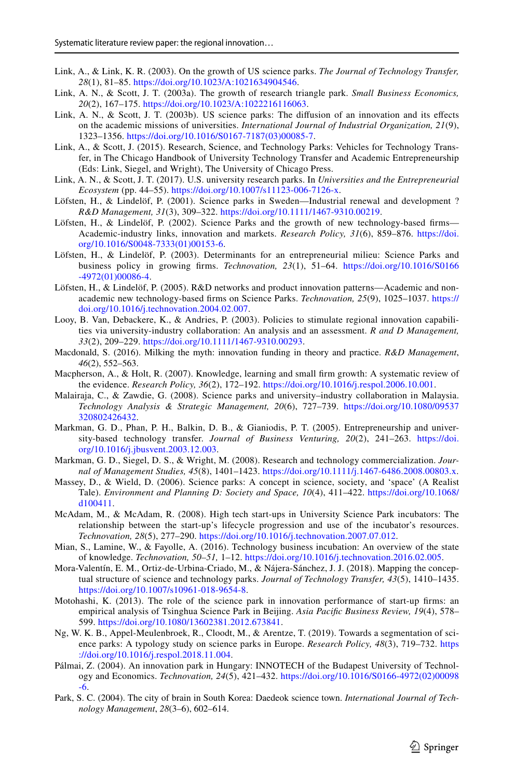- <span id="page-30-6"></span>Link, A., & Link, K. R. (2003). On the growth of US science parks. *The Journal of Technology Transfer, 28*(1), 81–85. [https://doi.org/10.1023/A:1021634904546.](https://doi.org/10.1023/A:1021634904546)
- <span id="page-30-4"></span>Link, A. N., & Scott, J. T. (2003a). The growth of research triangle park. *Small Business Economics, 20*(2), 167–175.<https://doi.org/10.1023/A:1022216116063>.
- <span id="page-30-5"></span>Link, A. N., & Scott, J. T. (2003b). US science parks: The difusion of an innovation and its efects on the academic missions of universities. *International Journal of Industrial Organization, 21*(9), 1323–1356. [https://doi.org/10.1016/S0167-7187\(03\)00085-7](https://doi.org/10.1016/S0167-7187(03)00085-7).
- <span id="page-30-3"></span>Link, A., & Scott, J. (2015). Research, Science, and Technology Parks: Vehicles for Technology Transfer, in The Chicago Handbook of University Technology Transfer and Academic Entrepreneurship (Eds: Link, Siegel, and Wright), The University of Chicago Press.
- <span id="page-30-2"></span>Link, A. N., & Scott, J. T. (2017). U.S. university research parks. In *Universities and the Entrepreneurial Ecosystem* (pp. 44–55). [https://doi.org/10.1007/s11123-006-7126-x.](https://doi.org/10.1007/s11123-006-7126-x)
- <span id="page-30-7"></span>Löfsten, H., & Lindelöf, P. (2001). Science parks in Sweden—Industrial renewal and development ? *R&D Management, 31*(3), 309–322. <https://doi.org/10.1111/1467-9310.00219>.
- <span id="page-30-8"></span>Löfsten, H., & Lindelöf, P. (2002). Science Parks and the growth of new technology-based firms— Academic-industry links, innovation and markets. *Research Policy, 31*(6), 859–876. [https://doi.](https://doi.org/10.1016/S0048-7333(01)00153-6) [org/10.1016/S0048-7333\(01\)00153-6](https://doi.org/10.1016/S0048-7333(01)00153-6).
- <span id="page-30-9"></span>Löfsten, H., & Lindelöf, P. (2003). Determinants for an entrepreneurial milieu: Science Parks and business policy in growing frms. *Technovation, 23*(1), 51–64. [https://doi.org/10.1016/S0166](https://doi.org/10.1016/S0166-4972(01)00086-4) [-4972\(01\)00086-4.](https://doi.org/10.1016/S0166-4972(01)00086-4)
- <span id="page-30-14"></span>Löfsten, H., & Lindelöf, P. (2005). R&D networks and product innovation patterns—Academic and nonacademic new technology-based frms on Science Parks. *Technovation, 25*(9), 1025–1037. [https://](https://doi.org/10.1016/j.technovation.2004.02.007) [doi.org/10.1016/j.technovation.2004.02.007](https://doi.org/10.1016/j.technovation.2004.02.007).
- <span id="page-30-20"></span>Looy, B. Van, Debackere, K., & Andries, P. (2003). Policies to stimulate regional innovation capabilities via university-industry collaboration: An analysis and an assessment. *R and D Management, 33*(2), 209–229. [https://doi.org/10.1111/1467-9310.00293.](https://doi.org/10.1111/1467-9310.00293)
- <span id="page-30-21"></span>Macdonald, S. (2016). Milking the myth: innovation funding in theory and practice. *R&D Management*, *46*(2), 552–563.
- <span id="page-30-1"></span>Macpherson, A., & Holt, R. (2007). Knowledge, learning and small frm growth: A systematic review of the evidence. *Research Policy, 36*(2), 172–192.<https://doi.org/10.1016/j.respol.2006.10.001>.
- <span id="page-30-0"></span>Malairaja, C., & Zawdie, G. (2008). Science parks and university–industry collaboration in Malaysia. *Technology Analysis & Strategic Management, 20*(6), 727–739. [https://doi.org/10.1080/09537](https://doi.org/10.1080/09537320802426432) [320802426432.](https://doi.org/10.1080/09537320802426432)
- <span id="page-30-17"></span>Markman, G. D., Phan, P. H., Balkin, D. B., & Gianiodis, P. T. (2005). Entrepreneurship and university-based technology transfer. *Journal of Business Venturing, 20*(2), 241–263. [https://doi.](https://doi.org/10.1016/j.jbusvent.2003.12.003) [org/10.1016/j.jbusvent.2003.12.003](https://doi.org/10.1016/j.jbusvent.2003.12.003).
- <span id="page-30-11"></span>Markman, G. D., Siegel, D. S., & Wright, M. (2008). Research and technology commercialization. *Journal of Management Studies, 45*(8), 1401–1423. <https://doi.org/10.1111/j.1467-6486.2008.00803.x>.
- <span id="page-30-15"></span>Massey, D., & Wield, D. (2006). Science parks: A concept in science, society, and 'space' (A Realist Tale). *Environment and Planning D: Society and Space, 10*(4), 411–422. [https://doi.org/10.1068/](https://doi.org/10.1068/d100411) [d100411](https://doi.org/10.1068/d100411).
- <span id="page-30-18"></span>McAdam, M., & McAdam, R. (2008). High tech start-ups in University Science Park incubators: The relationship between the start-up's lifecycle progression and use of the incubator's resources. *Technovation, 28*(5), 277–290. [https://doi.org/10.1016/j.technovation.2007.07.012.](https://doi.org/10.1016/j.technovation.2007.07.012)
- <span id="page-30-22"></span>Mian, S., Lamine, W., & Fayolle, A. (2016). Technology business incubation: An overview of the state of knowledge. *Technovation, 50–51,* 1–12. [https://doi.org/10.1016/j.technovation.2016.02.005.](https://doi.org/10.1016/j.technovation.2016.02.005)
- <span id="page-30-13"></span>Mora-Valentín, E. M., Ortiz-de-Urbina-Criado, M., & Nájera-Sánchez, J. J. (2018). Mapping the conceptual structure of science and technology parks. *Journal of Technology Transfer, 43*(5), 1410–1435. <https://doi.org/10.1007/s10961-018-9654-8>.
- <span id="page-30-19"></span>Motohashi, K. (2013). The role of the science park in innovation performance of start-up frms: an empirical analysis of Tsinghua Science Park in Beijing. *Asia Pacifc Business Review, 19*(4), 578– 599. <https://doi.org/10.1080/13602381.2012.673841>.
- <span id="page-30-10"></span>Ng, W. K. B., Appel-Meulenbroek, R., Cloodt, M., & Arentze, T. (2019). Towards a segmentation of science parks: A typology study on science parks in Europe. *Research Policy, 48*(3), 719–732. [https](https://doi.org/10.1016/j.respol.2018.11.004) [://doi.org/10.1016/j.respol.2018.11.004](https://doi.org/10.1016/j.respol.2018.11.004).
- <span id="page-30-16"></span>Pálmai, Z. (2004). An innovation park in Hungary: INNOTECH of the Budapest University of Technology and Economics. *Technovation, 24*(5), 421–432. [https://doi.org/10.1016/S0166-4972\(02\)00098](https://doi.org/10.1016/S0166-4972(02)00098-6) [-6](https://doi.org/10.1016/S0166-4972(02)00098-6).
- <span id="page-30-12"></span>Park, S. C. (2004). The city of brain in South Korea: Daedeok science town. *International Journal of Technology Management*, *28*(3–6), 602–614.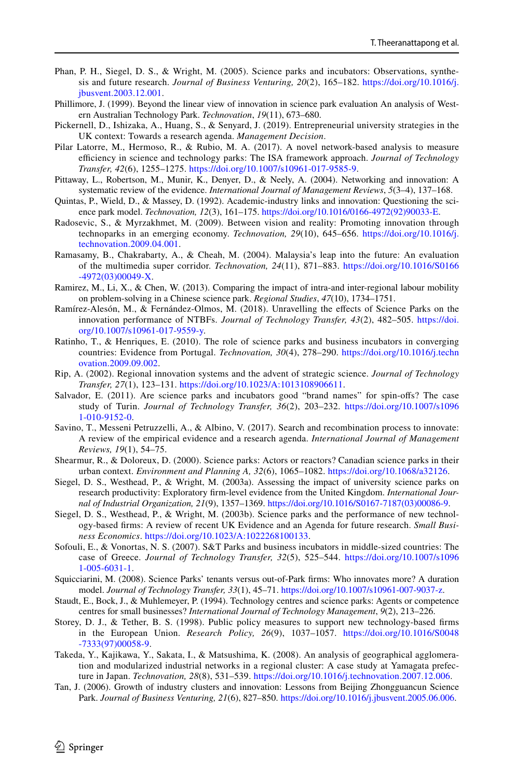- <span id="page-31-6"></span>Phan, P. H., Siegel, D. S., & Wright, M. (2005). Science parks and incubators: Observations, synthesis and future research. *Journal of Business Venturing, 20*(2), 165–182. [https://doi.org/10.1016/j.](https://doi.org/10.1016/j.jbusvent.2003.12.001) [jbusvent.2003.12.001](https://doi.org/10.1016/j.jbusvent.2003.12.001).
- <span id="page-31-17"></span>Phillimore, J. (1999). Beyond the linear view of innovation in science park evaluation An analysis of Western Australian Technology Park. *Technovation*, *19*(11), 673–680.
- <span id="page-31-2"></span>Pickernell, D., Ishizaka, A., Huang, S., & Senyard, J. (2019). Entrepreneurial university strategies in the UK context: Towards a research agenda. *Management Decision*.
- <span id="page-31-15"></span>Pilar Latorre, M., Hermoso, R., & Rubio, M. A. (2017). A novel network-based analysis to measure efficiency in science and technology parks: The ISA framework approach. *Journal of Technology Transfer, 42*(6), 1255–1275. [https://doi.org/10.1007/s10961-017-9585-9.](https://doi.org/10.1007/s10961-017-9585-9)
- <span id="page-31-3"></span>Pittaway, L., Robertson, M., Munir, K., Denyer, D., & Neely, A. (2004). Networking and innovation: A systematic review of the evidence. *International Journal of Management Reviews*, *5*(3–4), 137–168.
- <span id="page-31-16"></span>Quintas, P., Wield, D., & Massey, D. (1992). Academic-industry links and innovation: Questioning the science park model. *Technovation, 12*(3), 161–175. [https://doi.org/10.1016/0166-4972\(92\)90033-E.](https://doi.org/10.1016/0166-4972(92)90033-E)
- <span id="page-31-9"></span>Radosevic, S., & Myrzakhmet, M. (2009). Between vision and reality: Promoting innovation through technoparks in an emerging economy. *Technovation, 29*(10), 645–656. [https://doi.org/10.1016/j.](https://doi.org/10.1016/j.technovation.2009.04.001) [technovation.2009.04.001.](https://doi.org/10.1016/j.technovation.2009.04.001)
- <span id="page-31-8"></span>Ramasamy, B., Chakrabarty, A., & Cheah, M. (2004). Malaysia's leap into the future: An evaluation of the multimedia super corridor. *Technovation, 24*(11), 871–883. [https://doi.org/10.1016/S0166](https://doi.org/10.1016/S0166-4972(03)00049-X) [-4972\(03\)00049-X](https://doi.org/10.1016/S0166-4972(03)00049-X).
- <span id="page-31-19"></span>Ramirez, M., Li, X., & Chen, W. (2013). Comparing the impact of intra-and inter-regional labour mobility on problem-solving in a Chinese science park. *Regional Studies*, *47*(10), 1734–1751.
- <span id="page-31-13"></span>Ramírez-Alesón, M., & Fernández-Olmos, M. (2018). Unravelling the efects of Science Parks on the innovation performance of NTBFs. *Journal of Technology Transfer, 43*(2), 482–505. [https://doi.](https://doi.org/10.1007/s10961-017-9559-y) [org/10.1007/s10961-017-9559-y](https://doi.org/10.1007/s10961-017-9559-y).
- <span id="page-31-18"></span>Ratinho, T., & Henriques, E. (2010). The role of science parks and business incubators in converging countries: Evidence from Portugal. *Technovation, 30*(4), 278–290. [https://doi.org/10.1016/j.techn](https://doi.org/10.1016/j.technovation.2009.09.002) [ovation.2009.09.002](https://doi.org/10.1016/j.technovation.2009.09.002).
- <span id="page-31-1"></span>Rip, A. (2002). Regional innovation systems and the advent of strategic science. *Journal of Technology Transfer, 27*(1), 123–131. <https://doi.org/10.1023/A:1013108906611>.
- <span id="page-31-22"></span>Salvador, E. (2011). Are science parks and incubators good "brand names" for spin-ofs? The case study of Turin. *Journal of Technology Transfer, 36*(2), 203–232. [https://doi.org/10.1007/s1096](https://doi.org/10.1007/s10961-010-9152-0) [1-010-9152-0.](https://doi.org/10.1007/s10961-010-9152-0)
- <span id="page-31-4"></span>Savino, T., Messeni Petruzzelli, A., & Albino, V. (2017). Search and recombination process to innovate: A review of the empirical evidence and a research agenda. *International Journal of Management Reviews, 19*(1), 54–75.
- <span id="page-31-20"></span>Shearmur, R., & Doloreux, D. (2000). Science parks: Actors or reactors? Canadian science parks in their urban context. *Environment and Planning A, 32*(6), 1065–1082. [https://doi.org/10.1068/a32126.](https://doi.org/10.1068/a32126)
- <span id="page-31-10"></span>Siegel, D. S., Westhead, P., & Wright, M. (2003a). Assessing the impact of university science parks on research productivity: Exploratory frm-level evidence from the United Kingdom. *International Journal of Industrial Organization, 21*(9), 1357–1369. [https://doi.org/10.1016/S0167-7187\(03\)00086-9](https://doi.org/10.1016/S0167-7187(03)00086-9).
- <span id="page-31-12"></span>Siegel, D. S., Westhead, P., & Wright, M. (2003b). Science parks and the performance of new technology-based frms: A review of recent UK Evidence and an Agenda for future research. *Small Business Economics*. [https://doi.org/10.1023/A:1022268100133.](https://doi.org/10.1023/A:1022268100133)
- <span id="page-31-7"></span>Sofouli, E., & Vonortas, N. S. (2007). S&T Parks and business incubators in middle-sized countries: The case of Greece. *Journal of Technology Transfer, 32*(5), 525–544. [https://doi.org/10.1007/s1096](https://doi.org/10.1007/s10961-005-6031-1) [1-005-6031-1.](https://doi.org/10.1007/s10961-005-6031-1)
- <span id="page-31-11"></span>Squicciarini, M. (2008). Science Parks' tenants versus out-of-Park frms: Who innovates more? A duration model. *Journal of Technology Transfer, 33*(1), 45–71. [https://doi.org/10.1007/s10961-007-9037-z.](https://doi.org/10.1007/s10961-007-9037-z)
- <span id="page-31-14"></span>Staudt, E., Bock, J., & Muhlemeyer, P. (1994). Technology centres and science parks: Agents or competence centres for small businesses? *International Journal of Technology Management*, *9*(2), 213–226.
- <span id="page-31-5"></span>Storey, D. J., & Tether, B. S. (1998). Public policy measures to support new technology-based frms in the European Union. *Research Policy, 26*(9), 1037–1057. [https://doi.org/10.1016/S0048](https://doi.org/10.1016/S0048-7333(97)00058-9) [-7333\(97\)00058-9.](https://doi.org/10.1016/S0048-7333(97)00058-9)
- <span id="page-31-0"></span>Takeda, Y., Kajikawa, Y., Sakata, I., & Matsushima, K. (2008). An analysis of geographical agglomeration and modularized industrial networks in a regional cluster: A case study at Yamagata prefecture in Japan. *Technovation, 28*(8), 531–539. <https://doi.org/10.1016/j.technovation.2007.12.006>.
- <span id="page-31-21"></span>Tan, J. (2006). Growth of industry clusters and innovation: Lessons from Beijing Zhongguancun Science Park. *Journal of Business Venturing, 21*(6), 827–850. [https://doi.org/10.1016/j.jbusvent.2005.06.006.](https://doi.org/10.1016/j.jbusvent.2005.06.006)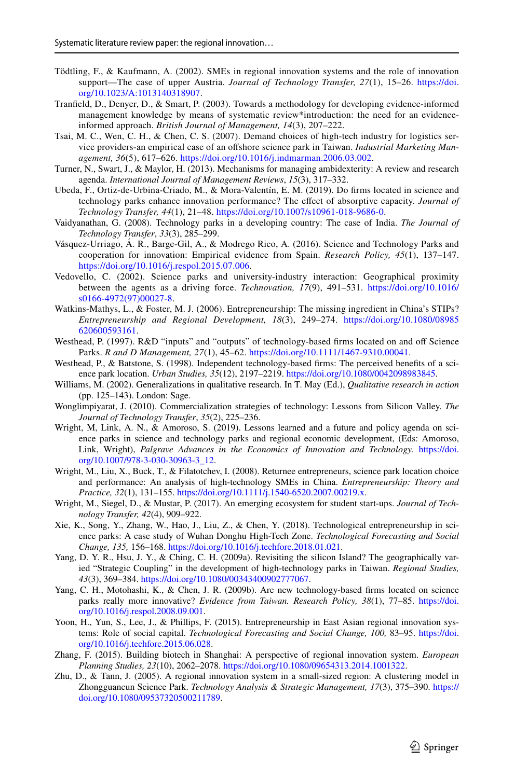- <span id="page-32-18"></span>Tödtling, F., & Kaufmann, A. (2002). SMEs in regional innovation systems and the role of innovation support—The case of upper Austria. *Journal of Technology Transfer, 27*(1), 15–26. [https://doi.](https://doi.org/10.1023/A:1013140318907) [org/10.1023/A:1013140318907](https://doi.org/10.1023/A:1013140318907).
- <span id="page-32-2"></span>Tranfeld, D., Denyer, D., & Smart, P. (2003). Towards a methodology for developing evidence-informed management knowledge by means of systematic review\*introduction: the need for an evidenceinformed approach. *British Journal of Management, 14*(3), 207–222.
- <span id="page-32-16"></span>Tsai, M. C., Wen, C. H., & Chen, C. S. (2007). Demand choices of high-tech industry for logistics service providers-an empirical case of an ofshore science park in Taiwan. *Industrial Marketing Management, 36*(5), 617–626. [https://doi.org/10.1016/j.indmarman.2006.03.002.](https://doi.org/10.1016/j.indmarman.2006.03.002)
- <span id="page-32-5"></span>Turner, N., Swart, J., & Maylor, H. (2013). Mechanisms for managing ambidexterity: A review and research agenda. *International Journal of Management Reviews*, *15*(3), 317–332.
- <span id="page-32-11"></span>Ubeda, F., Ortiz-de-Urbina-Criado, M., & Mora-Valentín, E. M. (2019). Do frms located in science and technology parks enhance innovation performance? The efect of absorptive capacity. *Journal of Technology Transfer, 44*(1), 21–48.<https://doi.org/10.1007/s10961-018-9686-0>.
- <span id="page-32-13"></span>Vaidyanathan, G. (2008). Technology parks in a developing country: The case of India. *The Journal of Technology Transfer*, *33*(3), 285–299.
- <span id="page-32-12"></span>Vásquez-Urriago, Á. R., Barge-Gil, A., & Modrego Rico, A. (2016). Science and Technology Parks and cooperation for innovation: Empirical evidence from Spain. *Research Policy, 45*(1), 137–147. <https://doi.org/10.1016/j.respol.2015.07.006>.
- <span id="page-32-1"></span>Vedovello, C. (2002). Science parks and university-industry interaction: Geographical proximity between the agents as a driving force. *Technovation, 17*(9), 491–531. [https://doi.org/10.1016/](https://doi.org/10.1016/s0166-4972(97)00027-8) [s0166-4972\(97\)00027-8](https://doi.org/10.1016/s0166-4972(97)00027-8).
- <span id="page-32-19"></span>Watkins-Mathys, L., & Foster, M. J. (2006). Entrepreneurship: The missing ingredient in China's STIPs? *Entrepreneurship and Regional Development, 18*(3), 249–274. [https://doi.org/10.1080/08985](https://doi.org/10.1080/08985620600593161) [620600593161.](https://doi.org/10.1080/08985620600593161)
- <span id="page-32-3"></span>Westhead, P. (1997). R&D "inputs" and "outputs" of technology-based firms located on and off Science Parks. *R and D Management, 27*(1), 45–62. [https://doi.org/10.1111/1467-9310.00041.](https://doi.org/10.1111/1467-9310.00041)
- <span id="page-32-8"></span>Westhead, P., & Batstone, S. (1998). Independent technology-based frms: The perceived benefts of a science park location. *Urban Studies, 35*(12), 2197–2219. <https://doi.org/10.1080/0042098983845>.
- <span id="page-32-7"></span>Williams, M. (2002). Generalizations in qualitative research. In T. May (Ed.), *Qualitative research in action* (pp. 125–143). London: Sage.
- <span id="page-32-21"></span>Wonglimpiyarat, J. (2010). Commercialization strategies of technology: Lessons from Silicon Valley. *The Journal of Technology Transfer*, *35*(2), 225–236.
- <span id="page-32-6"></span>Wright, M, Link, A. N., & Amoroso, S. (2019). Lessons learned and a future and policy agenda on science parks in science and technology parks and regional economic development, (Eds: Amoroso, Link, Wright), *Palgrave Advances in the Economics of Innovation and Technology.* [https://doi.](https://doi.org/10.1007/978-3-030-30963-3_12) [org/10.1007/978-3-030-30963-3\\_12.](https://doi.org/10.1007/978-3-030-30963-3_12)
- <span id="page-32-9"></span>Wright, M., Liu, X., Buck, T., & Filatotchev, I. (2008). Returnee entrepreneurs, science park location choice and performance: An analysis of high-technology SMEs in China. *Entrepreneurship: Theory and Practice, 32*(1), 131–155. [https://doi.org/10.1111/j.1540-6520.2007.00219.x.](https://doi.org/10.1111/j.1540-6520.2007.00219.x)
- <span id="page-32-0"></span>Wright, M., Siegel, D., & Mustar, P. (2017). An emerging ecosystem for student start-ups. *Journal of Technology Transfer, 42*(4), 909–922.
- <span id="page-32-20"></span>Xie, K., Song, Y., Zhang, W., Hao, J., Liu, Z., & Chen, Y. (2018). Technological entrepreneurship in science parks: A case study of Wuhan Donghu High-Tech Zone. *Technological Forecasting and Social Change, 135,* 156–168. <https://doi.org/10.1016/j.techfore.2018.01.021>.
- <span id="page-32-14"></span>Yang, D. Y. R., Hsu, J. Y., & Ching, C. H. (2009a). Revisiting the silicon Island? The geographically varied "Strategic Coupling" in the development of high-technology parks in Taiwan. *Regional Studies, 43*(3), 369–384. <https://doi.org/10.1080/00343400902777067>.
- <span id="page-32-10"></span>Yang, C. H., Motohashi, K., & Chen, J. R. (2009b). Are new technology-based frms located on science parks really more innovative? *Evidence from Taiwan. Research Policy, 38*(1), 77–85. [https://doi.](https://doi.org/10.1016/j.respol.2008.09.001) [org/10.1016/j.respol.2008.09.001](https://doi.org/10.1016/j.respol.2008.09.001).
- <span id="page-32-15"></span>Yoon, H., Yun, S., Lee, J., & Phillips, F. (2015). Entrepreneurship in East Asian regional innovation systems: Role of social capital. *Technological Forecasting and Social Change, 100,* 83–95. [https://doi.](https://doi.org/10.1016/j.techfore.2015.06.028) [org/10.1016/j.techfore.2015.06.028](https://doi.org/10.1016/j.techfore.2015.06.028).
- <span id="page-32-4"></span>Zhang, F. (2015). Building biotech in Shanghai: A perspective of regional innovation system. *European Planning Studies, 23*(10), 2062–2078.<https://doi.org/10.1080/09654313.2014.1001322>.
- <span id="page-32-17"></span>Zhu, D., & Tann, J. (2005). A regional innovation system in a small-sized region: A clustering model in Zhongguancun Science Park. *Technology Analysis & Strategic Management, 17*(3), 375–390. [https://](https://doi.org/10.1080/09537320500211789) [doi.org/10.1080/09537320500211789](https://doi.org/10.1080/09537320500211789).